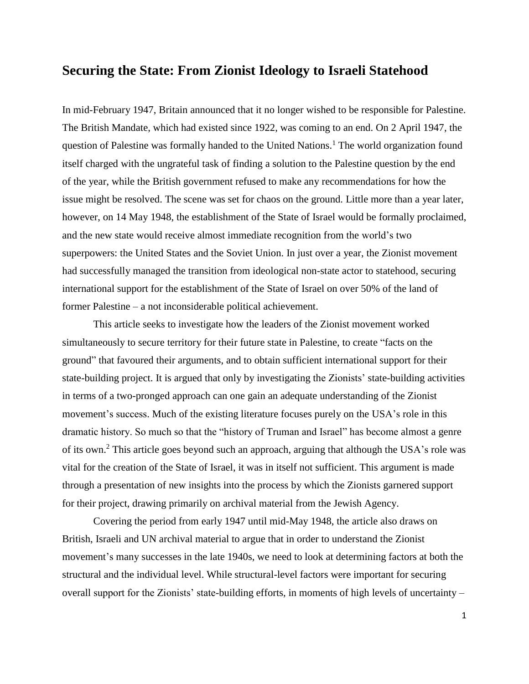# **Securing the State: From Zionist Ideology to Israeli Statehood**

In mid-February 1947, Britain announced that it no longer wished to be responsible for Palestine. The British Mandate, which had existed since 1922, was coming to an end. On 2 April 1947, the question of Palestine was formally handed to the United Nations.<sup>1</sup> The world organization found itself charged with the ungrateful task of finding a solution to the Palestine question by the end of the year, while the British government refused to make any recommendations for how the issue might be resolved. The scene was set for chaos on the ground. Little more than a year later, however, on 14 May 1948, the establishment of the State of Israel would be formally proclaimed, and the new state would receive almost immediate recognition from the world's two superpowers: the United States and the Soviet Union. In just over a year, the Zionist movement had successfully managed the transition from ideological non-state actor to statehood, securing international support for the establishment of the State of Israel on over 50% of the land of former Palestine – a not inconsiderable political achievement.

This article seeks to investigate how the leaders of the Zionist movement worked simultaneously to secure territory for their future state in Palestine, to create "facts on the ground" that favoured their arguments, and to obtain sufficient international support for their state-building project. It is argued that only by investigating the Zionists' state-building activities in terms of a two-pronged approach can one gain an adequate understanding of the Zionist movement's success. Much of the existing literature focuses purely on the USA's role in this dramatic history. So much so that the "history of Truman and Israel" has become almost a genre of its own.<sup>2</sup> This article goes beyond such an approach, arguing that although the USA's role was vital for the creation of the State of Israel, it was in itself not sufficient. This argument is made through a presentation of new insights into the process by which the Zionists garnered support for their project, drawing primarily on archival material from the Jewish Agency.

Covering the period from early 1947 until mid-May 1948, the article also draws on British, Israeli and UN archival material to argue that in order to understand the Zionist movement's many successes in the late 1940s, we need to look at determining factors at both the structural and the individual level. While structural-level factors were important for securing overall support for the Zionists' state-building efforts, in moments of high levels of uncertainty –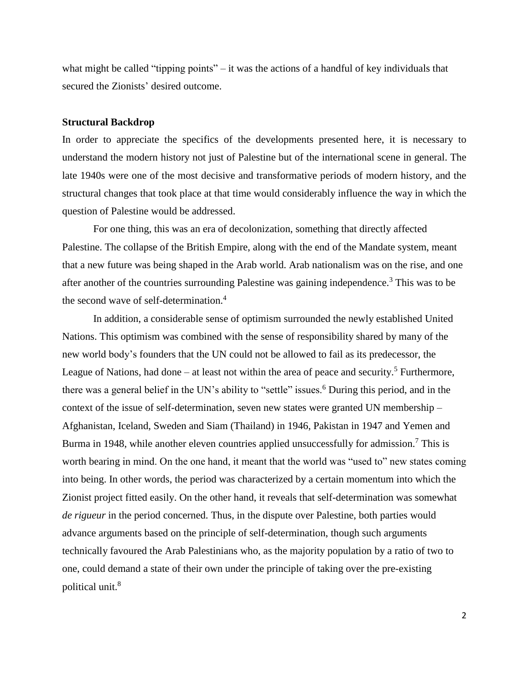what might be called "tipping points" – it was the actions of a handful of key individuals that secured the Zionists' desired outcome.

#### **Structural Backdrop**

In order to appreciate the specifics of the developments presented here, it is necessary to understand the modern history not just of Palestine but of the international scene in general. The late 1940s were one of the most decisive and transformative periods of modern history, and the structural changes that took place at that time would considerably influence the way in which the question of Palestine would be addressed.

For one thing, this was an era of decolonization, something that directly affected Palestine. The collapse of the British Empire, along with the end of the Mandate system, meant that a new future was being shaped in the Arab world. Arab nationalism was on the rise, and one after another of the countries surrounding Palestine was gaining independence.<sup>3</sup> This was to be the second wave of self-determination.<sup>4</sup>

In addition, a considerable sense of optimism surrounded the newly established United Nations. This optimism was combined with the sense of responsibility shared by many of the new world body's founders that the UN could not be allowed to fail as its predecessor, the League of Nations, had done – at least not within the area of peace and security.<sup>5</sup> Furthermore, there was a general belief in the UN's ability to "settle" issues.<sup>6</sup> During this period, and in the context of the issue of self-determination, seven new states were granted UN membership – Afghanistan, Iceland, Sweden and Siam (Thailand) in 1946, Pakistan in 1947 and Yemen and Burma in 1948, while another eleven countries applied unsuccessfully for admission.<sup>7</sup> This is worth bearing in mind. On the one hand, it meant that the world was "used to" new states coming into being. In other words, the period was characterized by a certain momentum into which the Zionist project fitted easily. On the other hand, it reveals that self-determination was somewhat *de rigueur* in the period concerned. Thus, in the dispute over Palestine, both parties would advance arguments based on the principle of self-determination, though such arguments technically favoured the Arab Palestinians who, as the majority population by a ratio of two to one, could demand a state of their own under the principle of taking over the pre-existing political unit.<sup>8</sup>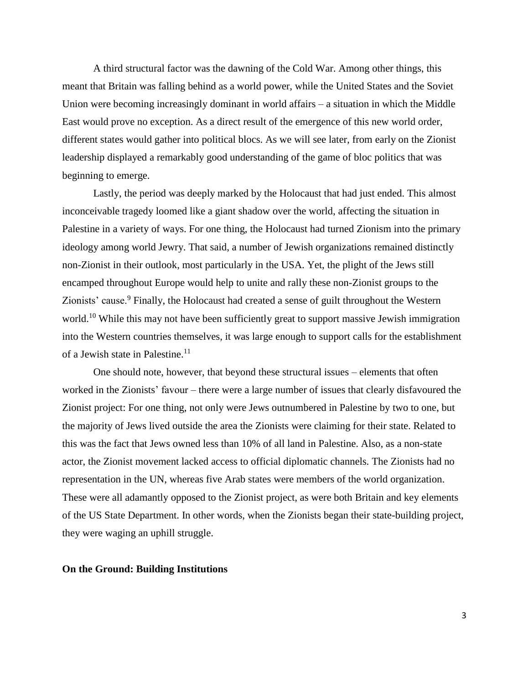A third structural factor was the dawning of the Cold War. Among other things, this meant that Britain was falling behind as a world power, while the United States and the Soviet Union were becoming increasingly dominant in world affairs – a situation in which the Middle East would prove no exception. As a direct result of the emergence of this new world order, different states would gather into political blocs. As we will see later, from early on the Zionist leadership displayed a remarkably good understanding of the game of bloc politics that was beginning to emerge.

Lastly, the period was deeply marked by the Holocaust that had just ended. This almost inconceivable tragedy loomed like a giant shadow over the world, affecting the situation in Palestine in a variety of ways. For one thing, the Holocaust had turned Zionism into the primary ideology among world Jewry. That said, a number of Jewish organizations remained distinctly non-Zionist in their outlook, most particularly in the USA. Yet, the plight of the Jews still encamped throughout Europe would help to unite and rally these non-Zionist groups to the Zionists' cause.<sup>9</sup> Finally, the Holocaust had created a sense of guilt throughout the Western world.<sup>10</sup> While this may not have been sufficiently great to support massive Jewish immigration into the Western countries themselves, it was large enough to support calls for the establishment of a Jewish state in Palestine.<sup>11</sup>

One should note, however, that beyond these structural issues – elements that often worked in the Zionists' favour – there were a large number of issues that clearly disfavoured the Zionist project: For one thing, not only were Jews outnumbered in Palestine by two to one, but the majority of Jews lived outside the area the Zionists were claiming for their state. Related to this was the fact that Jews owned less than 10% of all land in Palestine. Also, as a non-state actor, the Zionist movement lacked access to official diplomatic channels. The Zionists had no representation in the UN, whereas five Arab states were members of the world organization. These were all adamantly opposed to the Zionist project, as were both Britain and key elements of the US State Department. In other words, when the Zionists began their state-building project, they were waging an uphill struggle.

# **On the Ground: Building Institutions**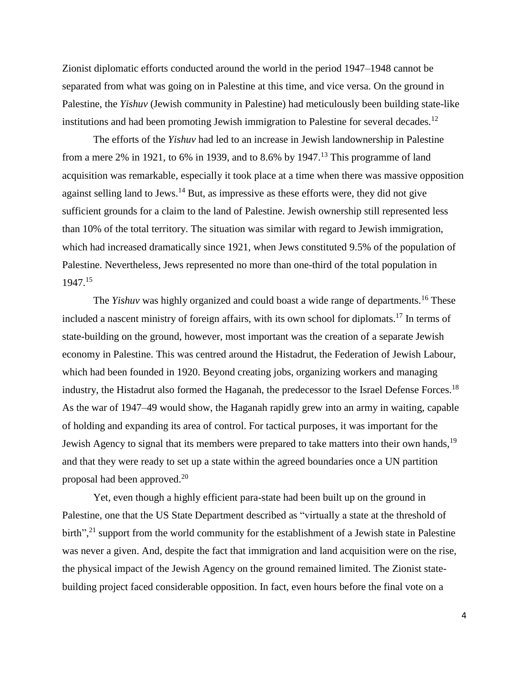Zionist diplomatic efforts conducted around the world in the period 1947–1948 cannot be separated from what was going on in Palestine at this time, and vice versa. On the ground in Palestine, the *Yishuv* (Jewish community in Palestine) had meticulously been building state-like institutions and had been promoting Jewish immigration to Palestine for several decades.<sup>12</sup>

The efforts of the *Yishuv* had led to an increase in Jewish landownership in Palestine from a mere 2% in 1921, to 6% in 1939, and to 8.6% by 1947.<sup>13</sup> This programme of land acquisition was remarkable, especially it took place at a time when there was massive opposition against selling land to Jews.<sup>14</sup> But, as impressive as these efforts were, they did not give sufficient grounds for a claim to the land of Palestine. Jewish ownership still represented less than 10% of the total territory. The situation was similar with regard to Jewish immigration, which had increased dramatically since 1921, when Jews constituted 9.5% of the population of Palestine. Nevertheless, Jews represented no more than one-third of the total population in 1947. 15

The *Yishuv* was highly organized and could boast a wide range of departments.<sup>16</sup> These included a nascent ministry of foreign affairs, with its own school for diplomats.<sup>17</sup> In terms of state-building on the ground, however, most important was the creation of a separate Jewish economy in Palestine. This was centred around the Histadrut, the Federation of Jewish Labour, which had been founded in 1920. Beyond creating jobs, organizing workers and managing industry, the Histadrut also formed the Haganah, the predecessor to the Israel Defense Forces.<sup>18</sup> As the war of 1947–49 would show, the Haganah rapidly grew into an army in waiting, capable of holding and expanding its area of control. For tactical purposes, it was important for the Jewish Agency to signal that its members were prepared to take matters into their own hands,<sup>19</sup> and that they were ready to set up a state within the agreed boundaries once a UN partition proposal had been approved.<sup>20</sup>

Yet, even though a highly efficient para-state had been built up on the ground in Palestine, one that the US State Department described as "virtually a state at the threshold of birth",<sup>21</sup> support from the world community for the establishment of a Jewish state in Palestine was never a given. And, despite the fact that immigration and land acquisition were on the rise, the physical impact of the Jewish Agency on the ground remained limited. The Zionist statebuilding project faced considerable opposition. In fact, even hours before the final vote on a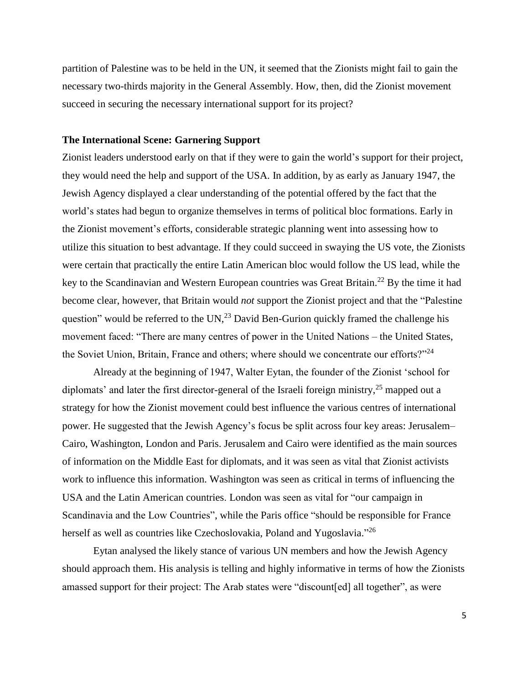partition of Palestine was to be held in the UN, it seemed that the Zionists might fail to gain the necessary two-thirds majority in the General Assembly. How, then, did the Zionist movement succeed in securing the necessary international support for its project?

# **The International Scene: Garnering Support**

Zionist leaders understood early on that if they were to gain the world's support for their project, they would need the help and support of the USA. In addition, by as early as January 1947, the Jewish Agency displayed a clear understanding of the potential offered by the fact that the world's states had begun to organize themselves in terms of political bloc formations. Early in the Zionist movement's efforts, considerable strategic planning went into assessing how to utilize this situation to best advantage. If they could succeed in swaying the US vote, the Zionists were certain that practically the entire Latin American bloc would follow the US lead, while the key to the Scandinavian and Western European countries was Great Britain.<sup>22</sup> By the time it had become clear, however, that Britain would *not* support the Zionist project and that the "Palestine question" would be referred to the  $UN<sub>1</sub><sup>23</sup>$  David Ben-Gurion quickly framed the challenge his movement faced: "There are many centres of power in the United Nations – the United States, the Soviet Union, Britain, France and others; where should we concentrate our efforts?"<sup>24</sup>

Already at the beginning of 1947, Walter Eytan, the founder of the Zionist 'school for diplomats' and later the first director-general of the Israeli foreign ministry,<sup>25</sup> mapped out a strategy for how the Zionist movement could best influence the various centres of international power. He suggested that the Jewish Agency's focus be split across four key areas: Jerusalem– Cairo, Washington, London and Paris. Jerusalem and Cairo were identified as the main sources of information on the Middle East for diplomats, and it was seen as vital that Zionist activists work to influence this information. Washington was seen as critical in terms of influencing the USA and the Latin American countries. London was seen as vital for "our campaign in Scandinavia and the Low Countries", while the Paris office "should be responsible for France herself as well as countries like Czechoslovakia, Poland and Yugoslavia."<sup>26</sup>

Eytan analysed the likely stance of various UN members and how the Jewish Agency should approach them. His analysis is telling and highly informative in terms of how the Zionists amassed support for their project: The Arab states were "discount[ed] all together", as were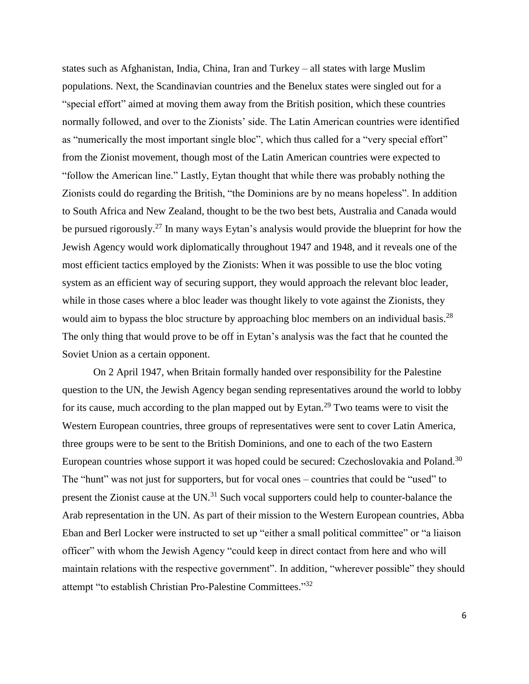states such as Afghanistan, India, China, Iran and Turkey – all states with large Muslim populations. Next, the Scandinavian countries and the Benelux states were singled out for a "special effort" aimed at moving them away from the British position, which these countries normally followed, and over to the Zionists' side. The Latin American countries were identified as "numerically the most important single bloc", which thus called for a "very special effort" from the Zionist movement, though most of the Latin American countries were expected to "follow the American line." Lastly, Eytan thought that while there was probably nothing the Zionists could do regarding the British, "the Dominions are by no means hopeless". In addition to South Africa and New Zealand, thought to be the two best bets, Australia and Canada would be pursued rigorously.<sup>27</sup> In many ways Eytan's analysis would provide the blueprint for how the Jewish Agency would work diplomatically throughout 1947 and 1948, and it reveals one of the most efficient tactics employed by the Zionists: When it was possible to use the bloc voting system as an efficient way of securing support, they would approach the relevant bloc leader, while in those cases where a bloc leader was thought likely to vote against the Zionists, they would aim to bypass the bloc structure by approaching bloc members on an individual basis.<sup>28</sup> The only thing that would prove to be off in Eytan's analysis was the fact that he counted the Soviet Union as a certain opponent.

On 2 April 1947, when Britain formally handed over responsibility for the Palestine question to the UN, the Jewish Agency began sending representatives around the world to lobby for its cause, much according to the plan mapped out by Eytan.<sup>29</sup> Two teams were to visit the Western European countries, three groups of representatives were sent to cover Latin America, three groups were to be sent to the British Dominions, and one to each of the two Eastern European countries whose support it was hoped could be secured: Czechoslovakia and Poland.<sup>30</sup> The "hunt" was not just for supporters, but for vocal ones – countries that could be "used" to present the Zionist cause at the UN.<sup>31</sup> Such vocal supporters could help to counter-balance the Arab representation in the UN. As part of their mission to the Western European countries, Abba Eban and Berl Locker were instructed to set up "either a small political committee" or "a liaison officer" with whom the Jewish Agency "could keep in direct contact from here and who will maintain relations with the respective government". In addition, "wherever possible" they should attempt "to establish Christian Pro-Palestine Committees."32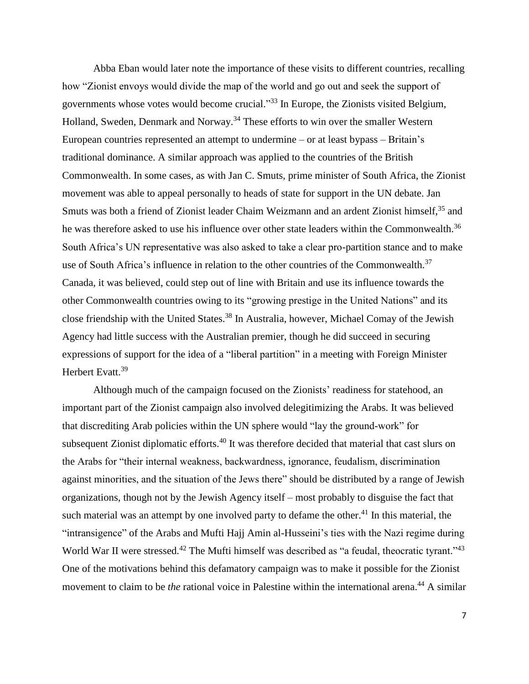Abba Eban would later note the importance of these visits to different countries, recalling how "Zionist envoys would divide the map of the world and go out and seek the support of governments whose votes would become crucial." <sup>33</sup> In Europe, the Zionists visited Belgium, Holland, Sweden, Denmark and Norway.<sup>34</sup> These efforts to win over the smaller Western European countries represented an attempt to undermine – or at least bypass – Britain's traditional dominance. A similar approach was applied to the countries of the British Commonwealth. In some cases, as with Jan C. Smuts, prime minister of South Africa, the Zionist movement was able to appeal personally to heads of state for support in the UN debate. Jan Smuts was both a friend of Zionist leader Chaim Weizmann and an ardent Zionist himself,<sup>35</sup> and he was therefore asked to use his influence over other state leaders within the Commonwealth.<sup>36</sup> South Africa's UN representative was also asked to take a clear pro-partition stance and to make use of South Africa's influence in relation to the other countries of the Commonwealth.<sup>37</sup> Canada, it was believed, could step out of line with Britain and use its influence towards the other Commonwealth countries owing to its "growing prestige in the United Nations" and its close friendship with the United States.<sup>38</sup> In Australia, however, Michael Comay of the Jewish Agency had little success with the Australian premier, though he did succeed in securing expressions of support for the idea of a "liberal partition" in a meeting with Foreign Minister Herbert Evatt.<sup>39</sup>

Although much of the campaign focused on the Zionists' readiness for statehood, an important part of the Zionist campaign also involved delegitimizing the Arabs. It was believed that discrediting Arab policies within the UN sphere would "lay the ground-work" for subsequent Zionist diplomatic efforts.<sup>40</sup> It was therefore decided that material that cast slurs on the Arabs for "their internal weakness, backwardness, ignorance, feudalism, discrimination against minorities, and the situation of the Jews there" should be distributed by a range of Jewish organizations, though not by the Jewish Agency itself – most probably to disguise the fact that such material was an attempt by one involved party to defame the other.<sup>41</sup> In this material, the "intransigence" of the Arabs and Mufti Hajj Amin al-Husseini's ties with the Nazi regime during World War II were stressed.<sup>42</sup> The Mufti himself was described as "a feudal, theocratic tyrant."<sup>43</sup> One of the motivations behind this defamatory campaign was to make it possible for the Zionist movement to claim to be *the* rational voice in Palestine within the international arena. <sup>44</sup> A similar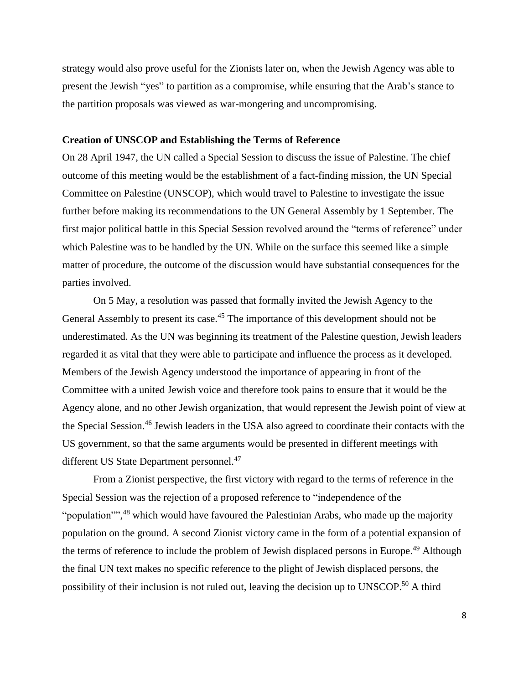strategy would also prove useful for the Zionists later on, when the Jewish Agency was able to present the Jewish "yes" to partition as a compromise, while ensuring that the Arab's stance to the partition proposals was viewed as war-mongering and uncompromising.

#### **Creation of UNSCOP and Establishing the Terms of Reference**

On 28 April 1947, the UN called a Special Session to discuss the issue of Palestine. The chief outcome of this meeting would be the establishment of a fact-finding mission, the UN Special Committee on Palestine (UNSCOP), which would travel to Palestine to investigate the issue further before making its recommendations to the UN General Assembly by 1 September. The first major political battle in this Special Session revolved around the "terms of reference" under which Palestine was to be handled by the UN. While on the surface this seemed like a simple matter of procedure, the outcome of the discussion would have substantial consequences for the parties involved.

On 5 May, a resolution was passed that formally invited the Jewish Agency to the General Assembly to present its case.<sup>45</sup> The importance of this development should not be underestimated. As the UN was beginning its treatment of the Palestine question, Jewish leaders regarded it as vital that they were able to participate and influence the process as it developed. Members of the Jewish Agency understood the importance of appearing in front of the Committee with a united Jewish voice and therefore took pains to ensure that it would be the Agency alone, and no other Jewish organization, that would represent the Jewish point of view at the Special Session.<sup>46</sup> Jewish leaders in the USA also agreed to coordinate their contacts with the US government, so that the same arguments would be presented in different meetings with different US State Department personnel.<sup>47</sup>

From a Zionist perspective, the first victory with regard to the terms of reference in the Special Session was the rejection of a proposed reference to "independence of the "population"<sup>38</sup> which would have favoured the Palestinian Arabs, who made up the majority population on the ground. A second Zionist victory came in the form of a potential expansion of the terms of reference to include the problem of Jewish displaced persons in Europe.<sup>49</sup> Although the final UN text makes no specific reference to the plight of Jewish displaced persons, the possibility of their inclusion is not ruled out, leaving the decision up to UNSCOP.<sup>50</sup> A third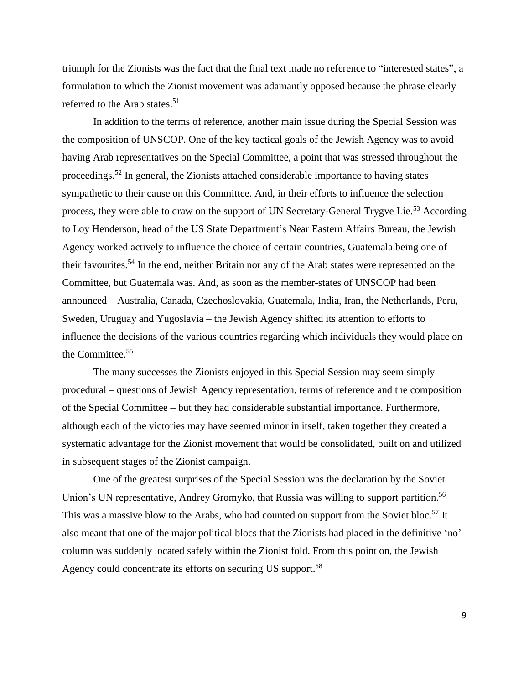triumph for the Zionists was the fact that the final text made no reference to "interested states", a formulation to which the Zionist movement was adamantly opposed because the phrase clearly referred to the Arab states.<sup>51</sup>

In addition to the terms of reference, another main issue during the Special Session was the composition of UNSCOP. One of the key tactical goals of the Jewish Agency was to avoid having Arab representatives on the Special Committee, a point that was stressed throughout the proceedings.<sup>52</sup> In general, the Zionists attached considerable importance to having states sympathetic to their cause on this Committee. And, in their efforts to influence the selection process, they were able to draw on the support of UN Secretary-General Trygve Lie.<sup>53</sup> According to Loy Henderson, head of the US State Department's Near Eastern Affairs Bureau, the Jewish Agency worked actively to influence the choice of certain countries, Guatemala being one of their favourites.<sup>54</sup> In the end, neither Britain nor any of the Arab states were represented on the Committee, but Guatemala was. And, as soon as the member-states of UNSCOP had been announced – Australia, Canada, Czechoslovakia, Guatemala, India, Iran, the Netherlands, Peru, Sweden, Uruguay and Yugoslavia – the Jewish Agency shifted its attention to efforts to influence the decisions of the various countries regarding which individuals they would place on the Committee.<sup>55</sup>

The many successes the Zionists enjoyed in this Special Session may seem simply procedural – questions of Jewish Agency representation, terms of reference and the composition of the Special Committee – but they had considerable substantial importance. Furthermore, although each of the victories may have seemed minor in itself, taken together they created a systematic advantage for the Zionist movement that would be consolidated, built on and utilized in subsequent stages of the Zionist campaign.

One of the greatest surprises of the Special Session was the declaration by the Soviet Union's UN representative, Andrey Gromyko, that Russia was willing to support partition.<sup>56</sup> This was a massive blow to the Arabs, who had counted on support from the Soviet bloc.<sup>57</sup> It also meant that one of the major political blocs that the Zionists had placed in the definitive 'no' column was suddenly located safely within the Zionist fold. From this point on, the Jewish Agency could concentrate its efforts on securing US support.<sup>58</sup>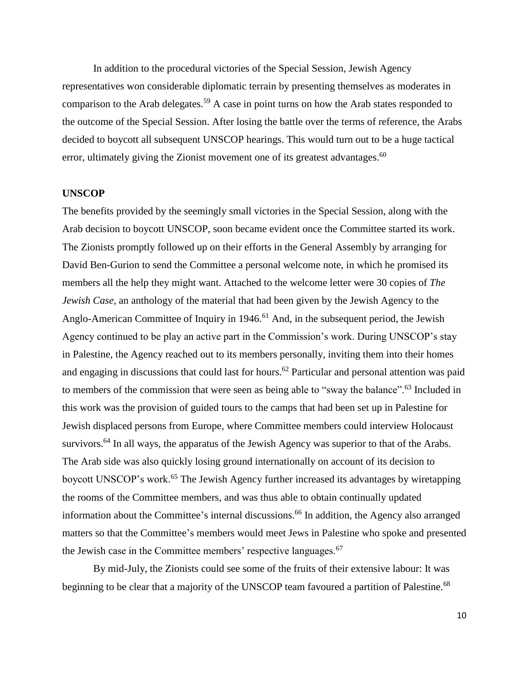In addition to the procedural victories of the Special Session, Jewish Agency representatives won considerable diplomatic terrain by presenting themselves as moderates in comparison to the Arab delegates.<sup>59</sup> A case in point turns on how the Arab states responded to the outcome of the Special Session. After losing the battle over the terms of reference, the Arabs decided to boycott all subsequent UNSCOP hearings. This would turn out to be a huge tactical error, ultimately giving the Zionist movement one of its greatest advantages.<sup>60</sup>

# **UNSCOP**

The benefits provided by the seemingly small victories in the Special Session, along with the Arab decision to boycott UNSCOP, soon became evident once the Committee started its work. The Zionists promptly followed up on their efforts in the General Assembly by arranging for David Ben-Gurion to send the Committee a personal welcome note, in which he promised its members all the help they might want. Attached to the welcome letter were 30 copies of *The Jewish Case,* an anthology of the material that had been given by the Jewish Agency to the Anglo-American Committee of Inquiry in 1946.<sup>61</sup> And, in the subsequent period, the Jewish Agency continued to be play an active part in the Commission's work. During UNSCOP's stay in Palestine, the Agency reached out to its members personally, inviting them into their homes and engaging in discussions that could last for hours.<sup>62</sup> Particular and personal attention was paid to members of the commission that were seen as being able to "sway the balance".<sup>63</sup> Included in this work was the provision of guided tours to the camps that had been set up in Palestine for Jewish displaced persons from Europe, where Committee members could interview Holocaust survivors.<sup>64</sup> In all ways, the apparatus of the Jewish Agency was superior to that of the Arabs. The Arab side was also quickly losing ground internationally on account of its decision to boycott UNSCOP's work.<sup>65</sup> The Jewish Agency further increased its advantages by wiretapping the rooms of the Committee members, and was thus able to obtain continually updated information about the Committee's internal discussions.<sup>66</sup> In addition, the Agency also arranged matters so that the Committee's members would meet Jews in Palestine who spoke and presented the Jewish case in the Committee members' respective languages.<sup>67</sup>

By mid-July, the Zionists could see some of the fruits of their extensive labour: It was beginning to be clear that a majority of the UNSCOP team favoured a partition of Palestine.<sup>68</sup>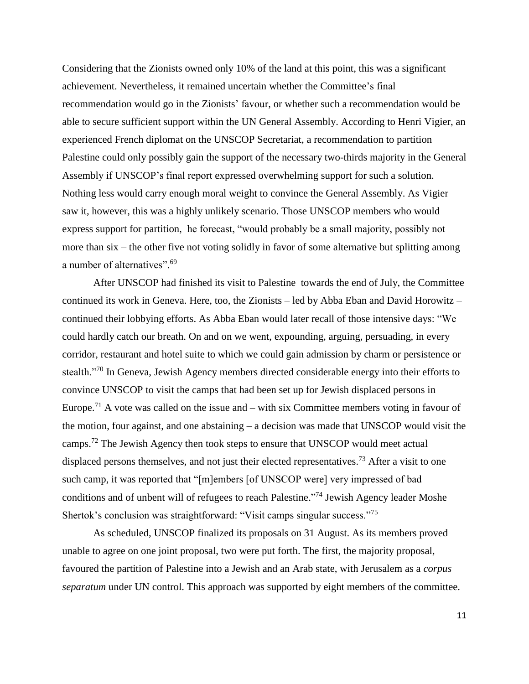Considering that the Zionists owned only 10% of the land at this point, this was a significant achievement. Nevertheless, it remained uncertain whether the Committee's final recommendation would go in the Zionists' favour, or whether such a recommendation would be able to secure sufficient support within the UN General Assembly. According to Henri Vigier, an experienced French diplomat on the UNSCOP Secretariat, a recommendation to partition Palestine could only possibly gain the support of the necessary two-thirds majority in the General Assembly if UNSCOP's final report expressed overwhelming support for such a solution. Nothing less would carry enough moral weight to convince the General Assembly. As Vigier saw it, however, this was a highly unlikely scenario. Those UNSCOP members who would express support for partition, he forecast, "would probably be a small majority, possibly not more than six – the other five not voting solidly in favor of some alternative but splitting among a number of alternatives".<sup>69</sup>

After UNSCOP had finished its visit to Palestine towards the end of July, the Committee continued its work in Geneva. Here, too, the Zionists – led by Abba Eban and David Horowitz – continued their lobbying efforts. As Abba Eban would later recall of those intensive days: "We could hardly catch our breath. On and on we went, expounding, arguing, persuading, in every corridor, restaurant and hotel suite to which we could gain admission by charm or persistence or stealth."<sup>70</sup> In Geneva, Jewish Agency members directed considerable energy into their efforts to convince UNSCOP to visit the camps that had been set up for Jewish displaced persons in Europe.<sup>71</sup> A vote was called on the issue and  $-$  with six Committee members voting in favour of the motion, four against, and one abstaining – a decision was made that UNSCOP would visit the camps.<sup>72</sup> The Jewish Agency then took steps to ensure that UNSCOP would meet actual displaced persons themselves, and not just their elected representatives.<sup>73</sup> After a visit to one such camp, it was reported that "[m]embers [of UNSCOP were] very impressed of bad conditions and of unbent will of refugees to reach Palestine."<sup>74</sup> Jewish Agency leader Moshe Shertok's conclusion was straightforward: "Visit camps singular success."<sup>75</sup>

As scheduled, UNSCOP finalized its proposals on 31 August. As its members proved unable to agree on one joint proposal, two were put forth. The first, the majority proposal, favoured the partition of Palestine into a Jewish and an Arab state, with Jerusalem as a *corpus separatum* under UN control. This approach was supported by eight members of the committee.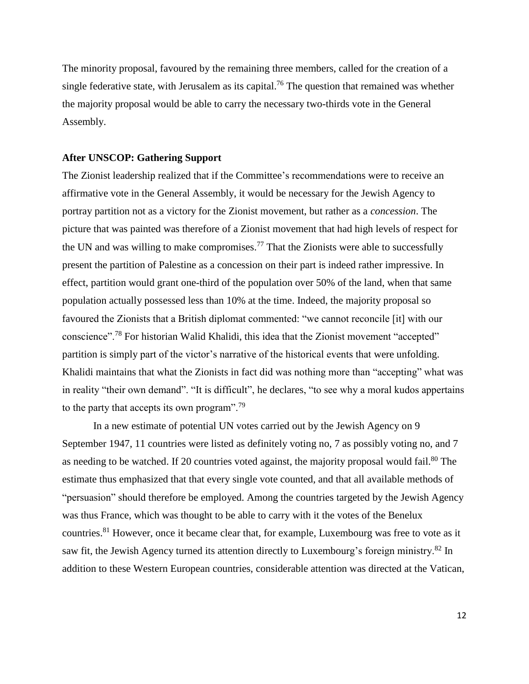The minority proposal, favoured by the remaining three members, called for the creation of a single federative state, with Jerusalem as its capital.<sup>76</sup> The question that remained was whether the majority proposal would be able to carry the necessary two-thirds vote in the General Assembly.

# **After UNSCOP: Gathering Support**

The Zionist leadership realized that if the Committee's recommendations were to receive an affirmative vote in the General Assembly, it would be necessary for the Jewish Agency to portray partition not as a victory for the Zionist movement, but rather as a *concession*. The picture that was painted was therefore of a Zionist movement that had high levels of respect for the UN and was willing to make compromises.<sup>77</sup> That the Zionists were able to successfully present the partition of Palestine as a concession on their part is indeed rather impressive. In effect, partition would grant one-third of the population over 50% of the land, when that same population actually possessed less than 10% at the time. Indeed, the majority proposal so favoured the Zionists that a British diplomat commented: "we cannot reconcile [it] with our conscience".<sup>78</sup> For historian Walid Khalidi, this idea that the Zionist movement "accepted" partition is simply part of the victor's narrative of the historical events that were unfolding. Khalidi maintains that what the Zionists in fact did was nothing more than "accepting" what was in reality "their own demand". "It is difficult", he declares, "to see why a moral kudos appertains to the party that accepts its own program".<sup>79</sup>

In a new estimate of potential UN votes carried out by the Jewish Agency on 9 September 1947, 11 countries were listed as definitely voting no, 7 as possibly voting no, and 7 as needing to be watched. If 20 countries voted against, the majority proposal would fail.<sup>80</sup> The estimate thus emphasized that that every single vote counted, and that all available methods of "persuasion" should therefore be employed. Among the countries targeted by the Jewish Agency was thus France, which was thought to be able to carry with it the votes of the Benelux countries.<sup>81</sup> However, once it became clear that, for example, Luxembourg was free to vote as it saw fit, the Jewish Agency turned its attention directly to Luxembourg's foreign ministry.<sup>82</sup> In addition to these Western European countries, considerable attention was directed at the Vatican,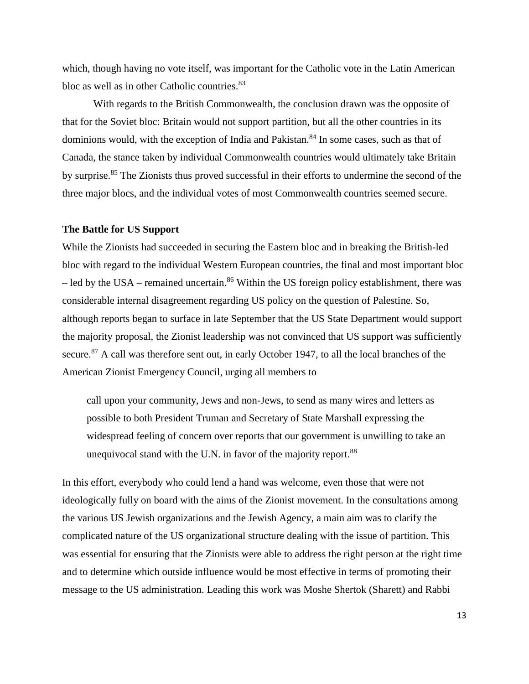which, though having no vote itself, was important for the Catholic vote in the Latin American bloc as well as in other Catholic countries. 83

With regards to the British Commonwealth, the conclusion drawn was the opposite of that for the Soviet bloc: Britain would not support partition, but all the other countries in its dominions would, with the exception of India and Pakistan.<sup>84</sup> In some cases, such as that of Canada, the stance taken by individual Commonwealth countries would ultimately take Britain by surprise.<sup>85</sup> The Zionists thus proved successful in their efforts to undermine the second of the three major blocs, and the individual votes of most Commonwealth countries seemed secure.

#### **The Battle for US Support**

While the Zionists had succeeded in securing the Eastern bloc and in breaking the British-led bloc with regard to the individual Western European countries, the final and most important bloc – led by the USA – remained uncertain.<sup>86</sup> Within the US foreign policy establishment, there was considerable internal disagreement regarding US policy on the question of Palestine. So, although reports began to surface in late September that the US State Department would support the majority proposal, the Zionist leadership was not convinced that US support was sufficiently secure.<sup>87</sup> A call was therefore sent out, in early October 1947, to all the local branches of the American Zionist Emergency Council, urging all members to

call upon your community, Jews and non-Jews, to send as many wires and letters as possible to both President Truman and Secretary of State Marshall expressing the widespread feeling of concern over reports that our government is unwilling to take an unequivocal stand with the U.N. in favor of the majority report.<sup>88</sup>

In this effort, everybody who could lend a hand was welcome, even those that were not ideologically fully on board with the aims of the Zionist movement. In the consultations among the various US Jewish organizations and the Jewish Agency, a main aim was to clarify the complicated nature of the US organizational structure dealing with the issue of partition. This was essential for ensuring that the Zionists were able to address the right person at the right time and to determine which outside influence would be most effective in terms of promoting their message to the US administration. Leading this work was Moshe Shertok (Sharett) and Rabbi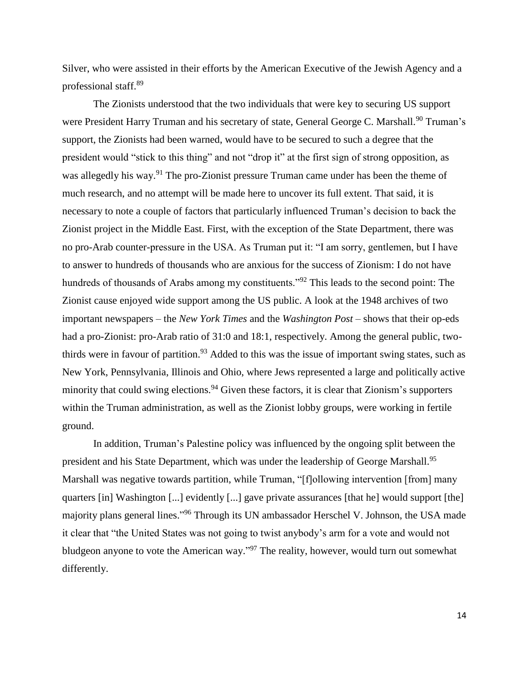Silver, who were assisted in their efforts by the American Executive of the Jewish Agency and a professional staff.<sup>89</sup>

The Zionists understood that the two individuals that were key to securing US support were President Harry Truman and his secretary of state, General George C. Marshall.<sup>90</sup> Truman's support, the Zionists had been warned, would have to be secured to such a degree that the president would "stick to this thing" and not "drop it" at the first sign of strong opposition, as was allegedly his way.<sup>91</sup> The pro-Zionist pressure Truman came under has been the theme of much research, and no attempt will be made here to uncover its full extent. That said, it is necessary to note a couple of factors that particularly influenced Truman's decision to back the Zionist project in the Middle East. First, with the exception of the State Department, there was no pro-Arab counter-pressure in the USA. As Truman put it: "I am sorry, gentlemen, but I have to answer to hundreds of thousands who are anxious for the success of Zionism: I do not have hundreds of thousands of Arabs among my constituents."<sup>92</sup> This leads to the second point: The Zionist cause enjoyed wide support among the US public. A look at the 1948 archives of two important newspapers – the *New York Times* and the *Washington Post* – shows that their op-eds had a pro-Zionist: pro-Arab ratio of 31:0 and 18:1, respectively. Among the general public, twothirds were in favour of partition.<sup>93</sup> Added to this was the issue of important swing states, such as New York, Pennsylvania, Illinois and Ohio, where Jews represented a large and politically active minority that could swing elections.<sup>94</sup> Given these factors, it is clear that Zionism's supporters within the Truman administration, as well as the Zionist lobby groups, were working in fertile ground.

In addition, Truman's Palestine policy was influenced by the ongoing split between the president and his State Department, which was under the leadership of George Marshall.<sup>95</sup> Marshall was negative towards partition, while Truman, "[f]ollowing intervention [from] many quarters [in] Washington [...] evidently [...] gave private assurances [that he] would support [the] majority plans general lines."<sup>96</sup> Through its UN ambassador Herschel V. Johnson, the USA made it clear that "the United States was not going to twist anybody's arm for a vote and would not bludgeon anyone to vote the American way."<sup>97</sup> The reality, however, would turn out somewhat differently.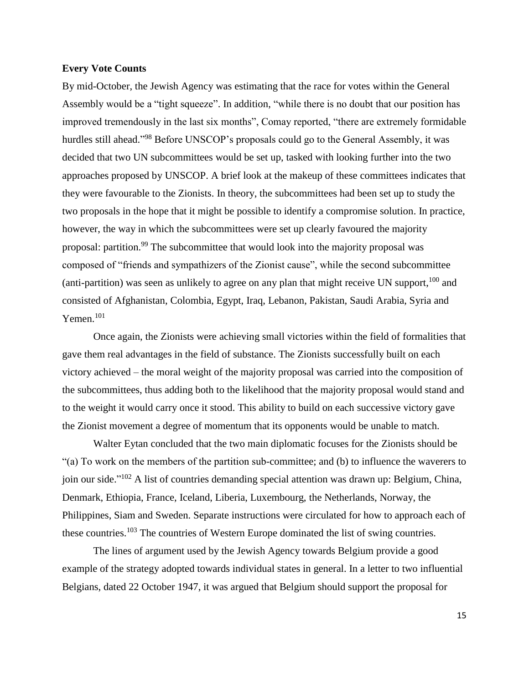# **Every Vote Counts**

By mid-October, the Jewish Agency was estimating that the race for votes within the General Assembly would be a "tight squeeze". In addition, "while there is no doubt that our position has improved tremendously in the last six months", Comay reported, "there are extremely formidable hurdles still ahead."<sup>98</sup> Before UNSCOP's proposals could go to the General Assembly, it was decided that two UN subcommittees would be set up, tasked with looking further into the two approaches proposed by UNSCOP. A brief look at the makeup of these committees indicates that they were favourable to the Zionists. In theory, the subcommittees had been set up to study the two proposals in the hope that it might be possible to identify a compromise solution. In practice, however, the way in which the subcommittees were set up clearly favoured the majority proposal: partition.<sup>99</sup> The subcommittee that would look into the majority proposal was composed of "friends and sympathizers of the Zionist cause", while the second subcommittee (anti-partition) was seen as unlikely to agree on any plan that might receive UN support,  $100$  and consisted of Afghanistan, Colombia, Egypt, Iraq, Lebanon, Pakistan, Saudi Arabia, Syria and  $Y$ emen.<sup>101</sup>

Once again, the Zionists were achieving small victories within the field of formalities that gave them real advantages in the field of substance. The Zionists successfully built on each victory achieved – the moral weight of the majority proposal was carried into the composition of the subcommittees, thus adding both to the likelihood that the majority proposal would stand and to the weight it would carry once it stood. This ability to build on each successive victory gave the Zionist movement a degree of momentum that its opponents would be unable to match.

Walter Eytan concluded that the two main diplomatic focuses for the Zionists should be "(a) To work on the members of the partition sub-committee; and (b) to influence the waverers to join our side." <sup>102</sup> A list of countries demanding special attention was drawn up: Belgium, China, Denmark, Ethiopia, France, Iceland, Liberia, Luxembourg, the Netherlands, Norway, the Philippines, Siam and Sweden. Separate instructions were circulated for how to approach each of these countries.<sup>103</sup> The countries of Western Europe dominated the list of swing countries.

The lines of argument used by the Jewish Agency towards Belgium provide a good example of the strategy adopted towards individual states in general. In a letter to two influential Belgians, dated 22 October 1947, it was argued that Belgium should support the proposal for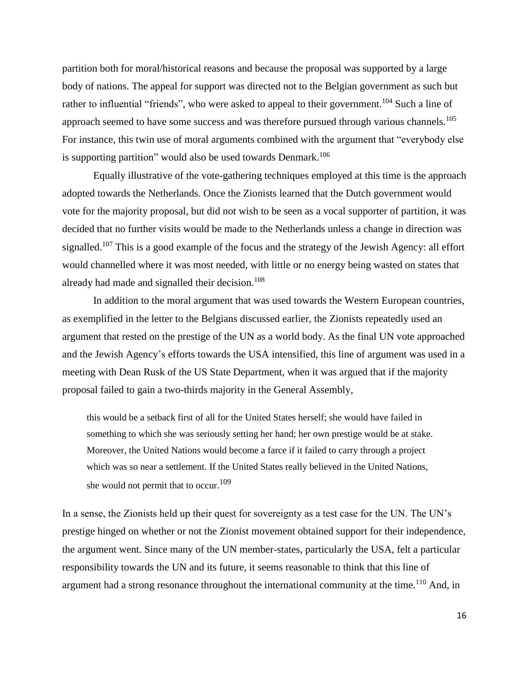partition both for moral/historical reasons and because the proposal was supported by a large body of nations. The appeal for support was directed not to the Belgian government as such but rather to influential "friends", who were asked to appeal to their government.<sup>104</sup> Such a line of approach seemed to have some success and was therefore pursued through various channels.<sup>105</sup> For instance, this twin use of moral arguments combined with the argument that "everybody else is supporting partition" would also be used towards Denmark.<sup>106</sup>

Equally illustrative of the vote-gathering techniques employed at this time is the approach adopted towards the Netherlands. Once the Zionists learned that the Dutch government would vote for the majority proposal, but did not wish to be seen as a vocal supporter of partition, it was decided that no further visits would be made to the Netherlands unless a change in direction was signalled.<sup>107</sup> This is a good example of the focus and the strategy of the Jewish Agency: all effort would channelled where it was most needed, with little or no energy being wasted on states that already had made and signalled their decision.<sup>108</sup>

In addition to the moral argument that was used towards the Western European countries, as exemplified in the letter to the Belgians discussed earlier, the Zionists repeatedly used an argument that rested on the prestige of the UN as a world body. As the final UN vote approached and the Jewish Agency's efforts towards the USA intensified, this line of argument was used in a meeting with Dean Rusk of the US State Department, when it was argued that if the majority proposal failed to gain a two-thirds majority in the General Assembly,

this would be a setback first of all for the United States herself; she would have failed in something to which she was seriously setting her hand; her own prestige would be at stake. Moreover, the United Nations would become a farce if it failed to carry through a project which was so near a settlement. If the United States really believed in the United Nations, she would not permit that to occur.<sup>109</sup>

In a sense, the Zionists held up their quest for sovereignty as a test case for the UN. The UN's prestige hinged on whether or not the Zionist movement obtained support for their independence, the argument went. Since many of the UN member-states, particularly the USA, felt a particular responsibility towards the UN and its future, it seems reasonable to think that this line of argument had a strong resonance throughout the international community at the time.<sup>110</sup> And, in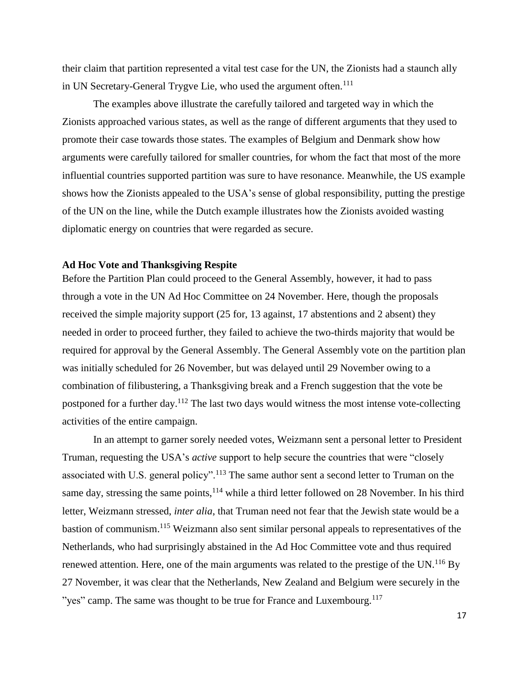their claim that partition represented a vital test case for the UN, the Zionists had a staunch ally in UN Secretary-General Trygve Lie, who used the argument often.<sup>111</sup>

The examples above illustrate the carefully tailored and targeted way in which the Zionists approached various states, as well as the range of different arguments that they used to promote their case towards those states. The examples of Belgium and Denmark show how arguments were carefully tailored for smaller countries, for whom the fact that most of the more influential countries supported partition was sure to have resonance. Meanwhile, the US example shows how the Zionists appealed to the USA's sense of global responsibility, putting the prestige of the UN on the line, while the Dutch example illustrates how the Zionists avoided wasting diplomatic energy on countries that were regarded as secure.

# **Ad Hoc Vote and Thanksgiving Respite**

Before the Partition Plan could proceed to the General Assembly, however, it had to pass through a vote in the UN Ad Hoc Committee on 24 November. Here, though the proposals received the simple majority support (25 for, 13 against, 17 abstentions and 2 absent) they needed in order to proceed further, they failed to achieve the two-thirds majority that would be required for approval by the General Assembly. The General Assembly vote on the partition plan was initially scheduled for 26 November, but was delayed until 29 November owing to a combination of filibustering, a Thanksgiving break and a French suggestion that the vote be postponed for a further day.<sup>112</sup> The last two days would witness the most intense vote-collecting activities of the entire campaign.

In an attempt to garner sorely needed votes, Weizmann sent a personal letter to President Truman, requesting the USA's *active* support to help secure the countries that were "closely associated with U.S. general policy".<sup>113</sup> The same author sent a second letter to Truman on the same day, stressing the same points, $114$  while a third letter followed on 28 November. In his third letter, Weizmann stressed, *inter alia*, that Truman need not fear that the Jewish state would be a bastion of communism.<sup>115</sup> Weizmann also sent similar personal appeals to representatives of the Netherlands, who had surprisingly abstained in the Ad Hoc Committee vote and thus required renewed attention. Here, one of the main arguments was related to the prestige of the UN.<sup>116</sup> By 27 November, it was clear that the Netherlands, New Zealand and Belgium were securely in the "yes" camp. The same was thought to be true for France and Luxembourg.<sup>117</sup>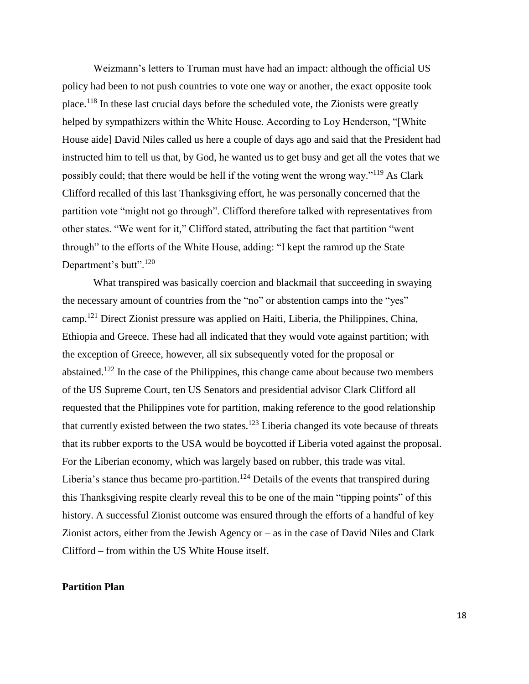Weizmann's letters to Truman must have had an impact: although the official US policy had been to not push countries to vote one way or another, the exact opposite took place.<sup>118</sup> In these last crucial days before the scheduled vote, the Zionists were greatly helped by sympathizers within the White House. According to Loy Henderson, "[White House aide] David Niles called us here a couple of days ago and said that the President had instructed him to tell us that, by God, he wanted us to get busy and get all the votes that we possibly could; that there would be hell if the voting went the wrong way."<sup>119</sup> As Clark Clifford recalled of this last Thanksgiving effort, he was personally concerned that the partition vote "might not go through". Clifford therefore talked with representatives from other states. "We went for it," Clifford stated, attributing the fact that partition "went through" to the efforts of the White House, adding: "I kept the ramrod up the State Department's butt".<sup>120</sup>

What transpired was basically coercion and blackmail that succeeding in swaying the necessary amount of countries from the "no" or abstention camps into the "yes" camp.<sup>121</sup> Direct Zionist pressure was applied on Haiti, Liberia, the Philippines, China, Ethiopia and Greece. These had all indicated that they would vote against partition; with the exception of Greece, however, all six subsequently voted for the proposal or abstained.<sup>122</sup> In the case of the Philippines, this change came about because two members of the US Supreme Court, ten US Senators and presidential advisor Clark Clifford all requested that the Philippines vote for partition, making reference to the good relationship that currently existed between the two states.<sup>123</sup> Liberia changed its vote because of threats that its rubber exports to the USA would be boycotted if Liberia voted against the proposal. For the Liberian economy, which was largely based on rubber, this trade was vital. Liberia's stance thus became pro-partition.<sup>124</sup> Details of the events that transpired during this Thanksgiving respite clearly reveal this to be one of the main "tipping points" of this history. A successful Zionist outcome was ensured through the efforts of a handful of key Zionist actors, either from the Jewish Agency or – as in the case of David Niles and Clark Clifford – from within the US White House itself.

# **Partition Plan**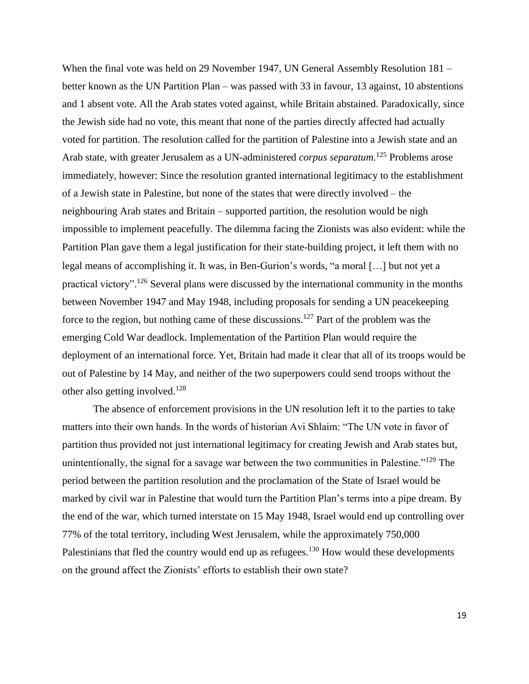When the final vote was held on 29 November 1947, UN General Assembly Resolution 181 – better known as the UN Partition Plan – was passed with 33 in favour, 13 against, 10 abstentions and 1 absent vote. All the Arab states voted against, while Britain abstained. Paradoxically, since the Jewish side had no vote, this meant that none of the parties directly affected had actually voted for partition. The resolution called for the partition of Palestine into a Jewish state and an Arab state, with greater Jerusalem as a UN-administered *corpus separatum.*<sup>125</sup> Problems arose immediately, however: Since the resolution granted international legitimacy to the establishment of a Jewish state in Palestine, but none of the states that were directly involved – the neighbouring Arab states and Britain – supported partition, the resolution would be nigh impossible to implement peacefully. The dilemma facing the Zionists was also evident: while the Partition Plan gave them a legal justification for their state-building project, it left them with no legal means of accomplishing it. It was, in Ben-Gurion's words, "a moral [...] but not yet a practical victory".<sup>126</sup> Several plans were discussed by the international community in the months between November 1947 and May 1948, including proposals for sending a UN peacekeeping force to the region, but nothing came of these discussions.<sup>127</sup> Part of the problem was the emerging Cold War deadlock. Implementation of the Partition Plan would require the deployment of an international force. Yet, Britain had made it clear that all of its troops would be out of Palestine by 14 May, and neither of the two superpowers could send troops without the other also getting involved.<sup>128</sup>

The absence of enforcement provisions in the UN resolution left it to the parties to take matters into their own hands. In the words of historian Avi Shlaim: "The UN vote in favor of partition thus provided not just international legitimacy for creating Jewish and Arab states but, unintentionally, the signal for a savage war between the two communities in Palestine."<sup>129</sup> The period between the partition resolution and the proclamation of the State of Israel would be marked by civil war in Palestine that would turn the Partition Plan's terms into a pipe dream. By the end of the war, which turned interstate on 15 May 1948, Israel would end up controlling over 77% of the total territory, including West Jerusalem, while the approximately 750,000 Palestinians that fled the country would end up as refugees.<sup>130</sup> How would these developments on the ground affect the Zionists' efforts to establish their own state?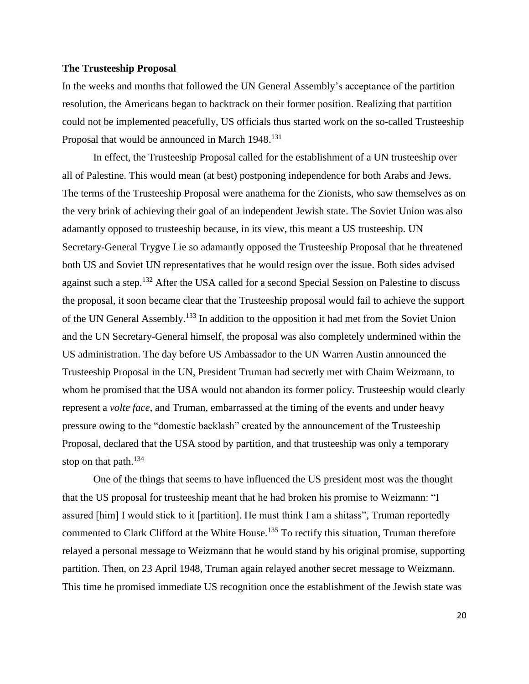# **The Trusteeship Proposal**

In the weeks and months that followed the UN General Assembly's acceptance of the partition resolution, the Americans began to backtrack on their former position. Realizing that partition could not be implemented peacefully, US officials thus started work on the so-called Trusteeship Proposal that would be announced in March 1948.<sup>131</sup>

In effect, the Trusteeship Proposal called for the establishment of a UN trusteeship over all of Palestine. This would mean (at best) postponing independence for both Arabs and Jews. The terms of the Trusteeship Proposal were anathema for the Zionists, who saw themselves as on the very brink of achieving their goal of an independent Jewish state. The Soviet Union was also adamantly opposed to trusteeship because, in its view, this meant a US trusteeship. UN Secretary-General Trygve Lie so adamantly opposed the Trusteeship Proposal that he threatened both US and Soviet UN representatives that he would resign over the issue. Both sides advised against such a step.<sup>132</sup> After the USA called for a second Special Session on Palestine to discuss the proposal, it soon became clear that the Trusteeship proposal would fail to achieve the support of the UN General Assembly.<sup>133</sup> In addition to the opposition it had met from the Soviet Union and the UN Secretary-General himself, the proposal was also completely undermined within the US administration. The day before US Ambassador to the UN Warren Austin announced the Trusteeship Proposal in the UN, President Truman had secretly met with Chaim Weizmann, to whom he promised that the USA would not abandon its former policy. Trusteeship would clearly represent a *volte face*, and Truman, embarrassed at the timing of the events and under heavy pressure owing to the "domestic backlash" created by the announcement of the Trusteeship Proposal, declared that the USA stood by partition, and that trusteeship was only a temporary stop on that path. $134$ 

One of the things that seems to have influenced the US president most was the thought that the US proposal for trusteeship meant that he had broken his promise to Weizmann: "I assured [him] I would stick to it [partition]. He must think I am a shitass", Truman reportedly commented to Clark Clifford at the White House.<sup>135</sup> To rectify this situation, Truman therefore relayed a personal message to Weizmann that he would stand by his original promise, supporting partition. Then, on 23 April 1948, Truman again relayed another secret message to Weizmann. This time he promised immediate US recognition once the establishment of the Jewish state was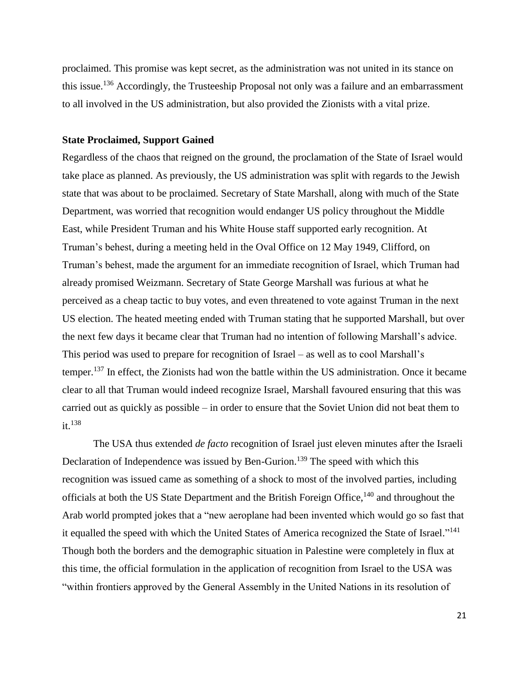proclaimed. This promise was kept secret, as the administration was not united in its stance on this issue.<sup>136</sup> Accordingly, the Trusteeship Proposal not only was a failure and an embarrassment to all involved in the US administration, but also provided the Zionists with a vital prize.

# **State Proclaimed, Support Gained**

Regardless of the chaos that reigned on the ground, the proclamation of the State of Israel would take place as planned. As previously, the US administration was split with regards to the Jewish state that was about to be proclaimed. Secretary of State Marshall, along with much of the State Department, was worried that recognition would endanger US policy throughout the Middle East, while President Truman and his White House staff supported early recognition. At Truman's behest, during a meeting held in the Oval Office on 12 May 1949, Clifford, on Truman's behest, made the argument for an immediate recognition of Israel, which Truman had already promised Weizmann. Secretary of State George Marshall was furious at what he perceived as a cheap tactic to buy votes, and even threatened to vote against Truman in the next US election. The heated meeting ended with Truman stating that he supported Marshall, but over the next few days it became clear that Truman had no intention of following Marshall's advice. This period was used to prepare for recognition of Israel – as well as to cool Marshall's temper.<sup>137</sup> In effect, the Zionists had won the battle within the US administration. Once it became clear to all that Truman would indeed recognize Israel, Marshall favoured ensuring that this was carried out as quickly as possible – in order to ensure that the Soviet Union did not beat them to it. 138

The USA thus extended *de facto* recognition of Israel just eleven minutes after the Israeli Declaration of Independence was issued by Ben-Gurion.<sup>139</sup> The speed with which this recognition was issued came as something of a shock to most of the involved parties, including officials at both the US State Department and the British Foreign Office,<sup>140</sup> and throughout the Arab world prompted jokes that a "new aeroplane had been invented which would go so fast that it equalled the speed with which the United States of America recognized the State of Israel."<sup>141</sup> Though both the borders and the demographic situation in Palestine were completely in flux at this time, the official formulation in the application of recognition from Israel to the USA was "within frontiers approved by the General Assembly in the United Nations in its resolution of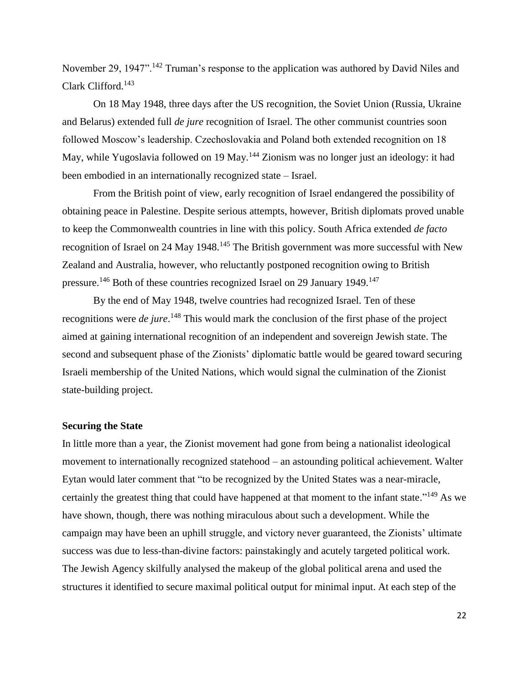November 29, 1947".<sup>142</sup> Truman's response to the application was authored by David Niles and Clark Clifford.<sup>143</sup>

On 18 May 1948, three days after the US recognition, the Soviet Union (Russia, Ukraine and Belarus) extended full *de jure* recognition of Israel. The other communist countries soon followed Moscow's leadership. Czechoslovakia and Poland both extended recognition on 18 May, while Yugoslavia followed on 19 May.<sup>144</sup> Zionism was no longer just an ideology: it had been embodied in an internationally recognized state – Israel.

From the British point of view, early recognition of Israel endangered the possibility of obtaining peace in Palestine. Despite serious attempts, however, British diplomats proved unable to keep the Commonwealth countries in line with this policy. South Africa extended *de facto* recognition of Israel on 24 May 1948.<sup>145</sup> The British government was more successful with New Zealand and Australia, however, who reluctantly postponed recognition owing to British pressure.<sup>146</sup> Both of these countries recognized Israel on 29 January 1949.<sup>147</sup>

By the end of May 1948, twelve countries had recognized Israel. Ten of these recognitions were *de jure*. <sup>148</sup> This would mark the conclusion of the first phase of the project aimed at gaining international recognition of an independent and sovereign Jewish state. The second and subsequent phase of the Zionists' diplomatic battle would be geared toward securing Israeli membership of the United Nations, which would signal the culmination of the Zionist state-building project.

#### **Securing the State**

In little more than a year, the Zionist movement had gone from being a nationalist ideological movement to internationally recognized statehood – an astounding political achievement. Walter Eytan would later comment that "to be recognized by the United States was a near-miracle, certainly the greatest thing that could have happened at that moment to the infant state."<sup>149</sup> As we have shown, though, there was nothing miraculous about such a development. While the campaign may have been an uphill struggle, and victory never guaranteed, the Zionists' ultimate success was due to less-than-divine factors: painstakingly and acutely targeted political work. The Jewish Agency skilfully analysed the makeup of the global political arena and used the structures it identified to secure maximal political output for minimal input. At each step of the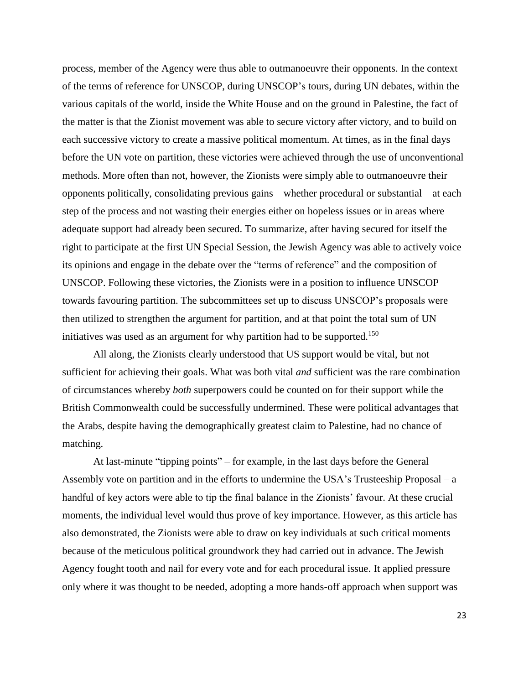process, member of the Agency were thus able to outmanoeuvre their opponents. In the context of the terms of reference for UNSCOP, during UNSCOP's tours, during UN debates, within the various capitals of the world, inside the White House and on the ground in Palestine, the fact of the matter is that the Zionist movement was able to secure victory after victory, and to build on each successive victory to create a massive political momentum. At times, as in the final days before the UN vote on partition, these victories were achieved through the use of unconventional methods. More often than not, however, the Zionists were simply able to outmanoeuvre their opponents politically, consolidating previous gains – whether procedural or substantial – at each step of the process and not wasting their energies either on hopeless issues or in areas where adequate support had already been secured. To summarize, after having secured for itself the right to participate at the first UN Special Session, the Jewish Agency was able to actively voice its opinions and engage in the debate over the "terms of reference" and the composition of UNSCOP. Following these victories, the Zionists were in a position to influence UNSCOP towards favouring partition. The subcommittees set up to discuss UNSCOP's proposals were then utilized to strengthen the argument for partition, and at that point the total sum of UN initiatives was used as an argument for why partition had to be supported.<sup>150</sup>

All along, the Zionists clearly understood that US support would be vital, but not sufficient for achieving their goals. What was both vital *and* sufficient was the rare combination of circumstances whereby *both* superpowers could be counted on for their support while the British Commonwealth could be successfully undermined. These were political advantages that the Arabs, despite having the demographically greatest claim to Palestine, had no chance of matching.

At last-minute "tipping points" – for example, in the last days before the General Assembly vote on partition and in the efforts to undermine the USA's Trusteeship Proposal – a handful of key actors were able to tip the final balance in the Zionists' favour. At these crucial moments, the individual level would thus prove of key importance. However, as this article has also demonstrated, the Zionists were able to draw on key individuals at such critical moments because of the meticulous political groundwork they had carried out in advance. The Jewish Agency fought tooth and nail for every vote and for each procedural issue. It applied pressure only where it was thought to be needed, adopting a more hands-off approach when support was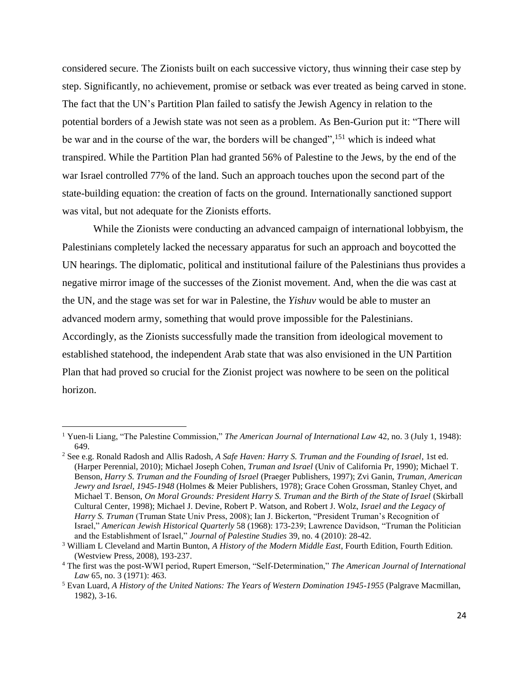considered secure. The Zionists built on each successive victory, thus winning their case step by step. Significantly, no achievement, promise or setback was ever treated as being carved in stone. The fact that the UN's Partition Plan failed to satisfy the Jewish Agency in relation to the potential borders of a Jewish state was not seen as a problem. As Ben-Gurion put it: "There will be war and in the course of the war, the borders will be changed",<sup>151</sup> which is indeed what transpired. While the Partition Plan had granted 56% of Palestine to the Jews, by the end of the war Israel controlled 77% of the land. Such an approach touches upon the second part of the state-building equation: the creation of facts on the ground. Internationally sanctioned support was vital, but not adequate for the Zionists efforts.

While the Zionists were conducting an advanced campaign of international lobbyism, the Palestinians completely lacked the necessary apparatus for such an approach and boycotted the UN hearings. The diplomatic, political and institutional failure of the Palestinians thus provides a negative mirror image of the successes of the Zionist movement. And, when the die was cast at the UN, and the stage was set for war in Palestine, the *Yishuv* would be able to muster an advanced modern army, something that would prove impossible for the Palestinians. Accordingly, as the Zionists successfully made the transition from ideological movement to established statehood, the independent Arab state that was also envisioned in the UN Partition Plan that had proved so crucial for the Zionist project was nowhere to be seen on the political horizon.

 $\overline{a}$ 

<sup>&</sup>lt;sup>1</sup> Yuen-li Liang, "The Palestine Commission," *The American Journal of International Law* 42, no. 3 (July 1, 1948): 649.

<sup>2</sup> See e.g. Ronald Radosh and Allis Radosh, *A Safe Haven: Harry S. Truman and the Founding of Israel*, 1st ed. (Harper Perennial, 2010); Michael Joseph Cohen, *Truman and Israel* (Univ of California Pr, 1990); Michael T. Benson, *Harry S. Truman and the Founding of Israel* (Praeger Publishers, 1997); Zvi Ganin, *Truman, American Jewry and Israel, 1945-1948* (Holmes & Meier Publishers, 1978); Grace Cohen Grossman, Stanley Chyet, and Michael T. Benson, *On Moral Grounds: President Harry S. Truman and the Birth of the State of Israel* (Skirball Cultural Center, 1998); Michael J. Devine, Robert P. Watson, and Robert J. Wolz, *Israel and the Legacy of Harry S. Truman* (Truman State Univ Press, 2008); Ian J. Bickerton, "President Truman's Recognition of Israel," *American Jewish Historical Quarterly* 58 (1968): 173-239; Lawrence Davidson, "Truman the Politician and the Establishment of Israel," *Journal of Palestine Studies* 39, no. 4 (2010): 28-42.

<sup>3</sup> William L Cleveland and Martin Bunton, *A History of the Modern Middle East*, Fourth Edition, Fourth Edition. (Westview Press, 2008), 193-237.

<sup>4</sup> The first was the post-WWI period, Rupert Emerson, "Self-Determination," *The American Journal of International Law* 65, no. 3 (1971): 463.

<sup>5</sup> Evan Luard, *A History of the United Nations: The Years of Western Domination 1945-1955* (Palgrave Macmillan, 1982), 3-16.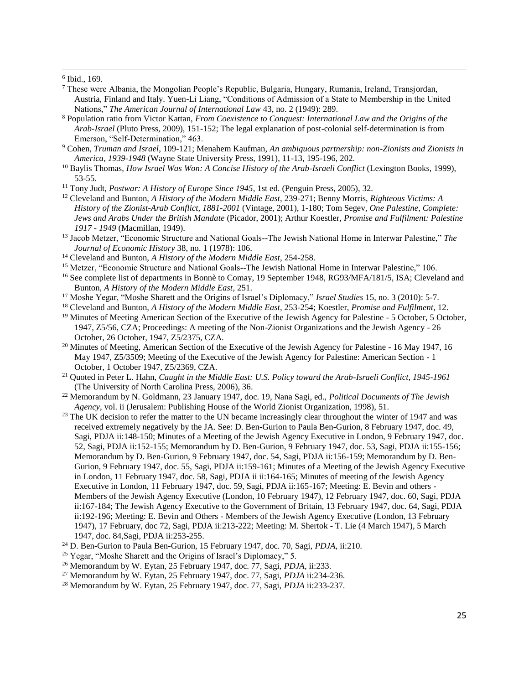6 Ibid., 169.

 $\overline{a}$ 

- <sup>7</sup> These were Albania, the Mongolian People's Republic, Bulgaria, Hungary, Rumania, Ireland, Transjordan, Austria, Finland and Italy. Yuen-Li Liang, "Conditions of Admission of a State to Membership in the United Nations," *The American Journal of International Law* 43, no. 2 (1949): 289.
- <sup>8</sup> Population ratio from Victor Kattan, *From Coexistence to Conquest: International Law and the Origins of the Arab-Israel* (Pluto Press, 2009), 151-152; The legal explanation of post-colonial self-determination is from Emerson, "Self-Determination," 463.
- <sup>9</sup> Cohen, *Truman and Israel*, 109-121; Menahem Kaufman, *An ambiguous partnership: non-Zionists and Zionists in America, 1939-1948* (Wayne State University Press, 1991), 11-13, 195-196, 202.
- <sup>10</sup> Baylis Thomas, *How Israel Was Won: A Concise History of the Arab-Israeli Conflict* (Lexington Books, 1999), 53-55.
- <sup>11</sup> Tony Judt, *Postwar: A History of Europe Since 1945*, 1st ed. (Penguin Press, 2005), 32.
- <sup>12</sup> Cleveland and Bunton, *A History of the Modern Middle East*, 239-271; Benny Morris, *Righteous Victims: A History of the Zionist-Arab Conflict, 1881-2001* (Vintage, 2001), 1-180; Tom Segev, *One Palestine, Complete: Jews and Arabs Under the British Mandate* (Picador, 2001); Arthur Koestler, *Promise and Fulfilment: Palestine 1917 - 1949* (Macmillan, 1949).
- <sup>13</sup> Jacob Metzer, "Economic Structure and National Goals--The Jewish National Home in Interwar Palestine," *The Journal of Economic History* 38, no. 1 (1978): 106.
- <sup>14</sup> Cleveland and Bunton, *A History of the Modern Middle East*, 254-258.
- <sup>15</sup> Metzer, "Economic Structure and National Goals--The Jewish National Home in Interwar Palestine," 106.
- <sup>16</sup> See complete list of departments in Bonnè to Comay, 19 September 1948, RG93/MFA/181/5, ISA; Cleveland and Bunton, *A History of the Modern Middle East*, 251.
- <sup>17</sup> Moshe Yegar, "Moshe Sharett and the Origins of Israel's Diplomacy," *Israel Studies* 15, no. 3 (2010): 5-7.
- <sup>18</sup> Cleveland and Bunton, *A History of the Modern Middle East*, 253-254; Koestler, *Promise and Fulfilment*, 12.
- <sup>19</sup> Minutes of Meeting American Section of the Executive of the Jewish Agency for Palestine 5 October, 5 October, 1947, Z5/56, CZA; Proceedings: A meeting of the Non-Zionist Organizations and the Jewish Agency - 26 October, 26 October, 1947, Z5/2375, CZA.
- <sup>20</sup> Minutes of Meeting, American Section of the Executive of the Jewish Agency for Palestine 16 May 1947, 16 May 1947, Z5/3509; Meeting of the Executive of the Jewish Agency for Palestine: American Section - 1 October, 1 October 1947, Z5/2369, CZA.
- <sup>21</sup> Quoted in Peter L. Hahn, *Caught in the Middle East: U.S. Policy toward the Arab-Israeli Conflict, 1945-1961* (The University of North Carolina Press, 2006), 36.
- <sup>22</sup> Memorandum by N. Goldmann, 23 January 1947, doc. 19, Nana Sagi, ed., *Political Documents of The Jewish Agency*, vol. ii (Jerusalem: Publishing House of the World Zionist Organization, 1998), 51.
- <sup>23</sup> The UK decision to refer the matter to the UN became increasingly clear throughout the winter of 1947 and was received extremely negatively by the JA. See: D. Ben-Gurion to Paula Ben-Gurion, 8 February 1947, doc. 49, Sagi, PDJA ii:148-150; Minutes of a Meeting of the Jewish Agency Executive in London, 9 February 1947, doc. 52, Sagi, PDJA ii:152-155; Memorandum by D. Ben-Gurion, 9 February 1947, doc. 53, Sagi, PDJA ii:155-156; Memorandum by D. Ben-Gurion, 9 February 1947, doc. 54, Sagi, PDJA ii:156-159; Memorandum by D. Ben-Gurion, 9 February 1947, doc. 55, Sagi, PDJA ii:159-161; Minutes of a Meeting of the Jewish Agency Executive in London, 11 February 1947, doc. 58, Sagi, PDJA ii ii:164-165; Minutes of meeting of the Jewish Agency Executive in London, 11 February 1947, doc. 59, Sagi, PDJA ii:165-167; Meeting: E. Bevin and others - Members of the Jewish Agency Executive (London, 10 February 1947), 12 February 1947, doc. 60, Sagi, PDJA ii:167-184; The Jewish Agency Executive to the Government of Britain, 13 February 1947, doc. 64, Sagi, PDJA ii:192-196; Meeting: E. Bevin and Others - Members of the Jewish Agency Executive (London, 13 February 1947), 17 February, doc 72, Sagi, PDJA ii:213-222; Meeting: M. Shertok - T. Lie (4 March 1947), 5 March 1947, doc. 84,Sagi, PDJA ii:253-255.
- <sup>24</sup> D. Ben-Gurion to Paula Ben-Gurion, 15 February 1947, doc. 70, Sagi, *PDJA*, ii:210.
- <sup>25</sup> Yegar, "Moshe Sharett and the Origins of Israel's Diplomacy," 5.
- <sup>26</sup> Memorandum by W. Eytan, 25 February 1947, doc. 77, Sagi, *PDJA*, ii:233.
- <sup>27</sup> Memorandum by W. Eytan, 25 February 1947, doc. 77, Sagi, *PDJA* ii:234-236.
- <sup>28</sup> Memorandum by W. Eytan, 25 February 1947, doc. 77, Sagi, *PDJA* ii:233-237.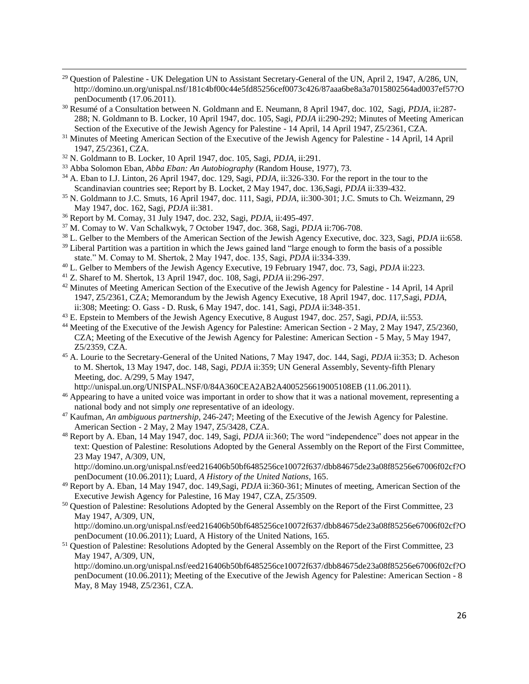- <sup>29</sup> Question of Palestine UK Delegation UN to Assistant Secretary-General of the UN, April 2, 1947, A/286, UN, http://domino.un.org/unispal.nsf/181c4bf00c44e5fd85256cef0073c426/87aaa6be8a3a7015802564ad0037ef57?O penDocumentb (17.06.2011).
- <sup>30</sup> Resumé of a Consultation between N. Goldmann and E. Neumann, 8 April 1947, doc. 102, Sagi, *PDJA*, ii:287- 288; N. Goldmann to B. Locker, 10 April 1947, doc. 105, Sagi, *PDJA* ii:290-292; Minutes of Meeting American Section of the Executive of the Jewish Agency for Palestine - 14 April, 14 April 1947, Z5/2361, CZA.
- <sup>31</sup> Minutes of Meeting American Section of the Executive of the Jewish Agency for Palestine 14 April, 14 April 1947, Z5/2361, CZA.
- <sup>32</sup> N. Goldmann to B. Locker, 10 April 1947, doc. 105, Sagi, *PDJA*, ii:291.

 $\overline{a}$ 

- <sup>33</sup> Abba Solomon Eban, *Abba Eban: An Autobiography* (Random House, 1977), 73.
- <sup>34</sup> A. Eban to I.J. Linton, 26 April 1947, doc. 129, Sagi, *PDJA*, ii:326-330. For the report in the tour to the Scandinavian countries see; Report by B. Locket, 2 May 1947, doc. 136,Sagi, *PDJA* ii:339-432.
- <sup>35</sup> N. Goldmann to J.C. Smuts, 16 April 1947, doc. 111, Sagi, *PDJA*, ii:300-301; J.C. Smuts to Ch. Weizmann, 29 May 1947, doc. 162, Sagi, *PDJA* ii:381.
- <sup>36</sup> Report by M. Comay, 31 July 1947, doc. 232, Sagi, *PDJA*, ii:495-497.
- <sup>37</sup> M. Comay to W. Van Schalkwyk, 7 October 1947, doc. 368, Sagi, *PDJA* ii:706-708.
- <sup>38</sup> L. Gelber to the Members of the American Section of the Jewish Agency Executive, doc. 323, Sagi, *PDJA* ii:658.
- <sup>39</sup> Liberal Partition was a partition in which the Jews gained land "large enough to form the basis of a possible state." M. Comay to M. Shertok, 2 May 1947, doc. 135, Sagi, *PDJA* ii:334-339.
- <sup>40</sup> L. Gelber to Members of the Jewish Agency Executive, 19 February 1947, doc. 73, Sagi, *PDJA* ii:223.
- <sup>41</sup> Z. Sharef to M. Shertok, 13 April 1947, doc. 108, Sagi, *PDJA* ii:296-297.
- <sup>42</sup> Minutes of Meeting American Section of the Executive of the Jewish Agency for Palestine 14 April, 14 April 1947, Z5/2361, CZA; Memorandum by the Jewish Agency Executive, 18 April 1947, doc. 117,Sagi, *PDJA*, ii:308; Meeting: O. Gass - D. Rusk, 6 May 1947, doc. 141, Sagi, *PDJA* ii:348-351.
- <sup>43</sup> E. Epstein to Members of the Jewish Agency Executive, 8 August 1947, doc. 257, Sagi, *PDJA*, ii:553.
- <sup>44</sup> Meeting of the Executive of the Jewish Agency for Palestine: American Section 2 May, 2 May 1947, Z5/2360, CZA; Meeting of the Executive of the Jewish Agency for Palestine: American Section - 5 May, 5 May 1947, Z5/2359, CZA.
- <sup>45</sup> A. Lourie to the Secretary-General of the United Nations, 7 May 1947, doc. 144, Sagi, *PDJA* ii:353; D. Acheson to M. Shertok, 13 May 1947, doc. 148, Sagi, *PDJA* ii:359; UN General Assembly, Seventy-fifth Plenary Meeting, doc. A/299, 5 May 1947,
- http://unispal.un.org/UNISPAL.NSF/0/84A360CEA2AB2A4005256619005108EB (11.06.2011).
- <sup>46</sup> Appearing to have a united voice was important in order to show that it was a national movement, representing a national body and not simply *one* representative of an ideology.
- <sup>47</sup> Kaufman, *An ambiguous partnership*, 246-247; Meeting of the Executive of the Jewish Agency for Palestine. American Section - 2 May, 2 May 1947, Z5/3428, CZA.
- <sup>48</sup> Report by A. Eban, 14 May 1947, doc. 149, Sagi, *PDJA* ii:360; The word "independence" does not appear in the text: Question of Palestine: Resolutions Adopted by the General Assembly on the Report of the First Committee, 23 May 1947, A/309, UN,

http://domino.un.org/unispal.nsf/eed216406b50bf6485256ce10072f637/dbb84675de23a08f85256e67006f02cf?O penDocument (10.06.2011); Luard, *A History of the United Nations*, 165.

- <sup>49</sup> Report by A. Eban, 14 May 1947, doc. 149,Sagi, *PDJA* ii:360-361; Minutes of meeting, American Section of the Executive Jewish Agency for Palestine, 16 May 1947, CZA, Z5/3509.
- <sup>50</sup> Question of Palestine: Resolutions Adopted by the General Assembly on the Report of the First Committee, 23 May 1947, A/309, UN,

http://domino.un.org/unispal.nsf/eed216406b50bf6485256ce10072f637/dbb84675de23a08f85256e67006f02cf?O penDocument (10.06.2011); Luard, A History of the United Nations, 165.

<sup>51</sup> Question of Palestine: Resolutions Adopted by the General Assembly on the Report of the First Committee, 23 May 1947, A/309, UN,

http://domino.un.org/unispal.nsf/eed216406b50bf6485256ce10072f637/dbb84675de23a08f85256e67006f02cf?O penDocument (10.06.2011); Meeting of the Executive of the Jewish Agency for Palestine: American Section - 8 May, 8 May 1948, Z5/2361, CZA.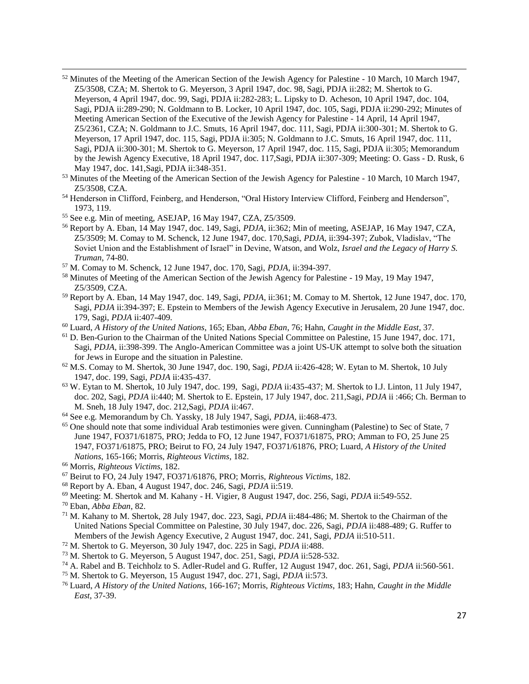- <sup>52</sup> Minutes of the Meeting of the American Section of the Jewish Agency for Palestine 10 March, 10 March 1947, Z5/3508, CZA; M. Shertok to G. Meyerson, 3 April 1947, doc. 98, Sagi, PDJA ii:282; M. Shertok to G. Meyerson, 4 April 1947, doc. 99, Sagi, PDJA ii:282-283; L. Lipsky to D. Acheson, 10 April 1947, doc. 104, Sagi, PDJA ii:289-290; N. Goldmann to B. Locker, 10 April 1947, doc. 105, Sagi, PDJA ii:290-292; Minutes of Meeting American Section of the Executive of the Jewish Agency for Palestine - 14 April, 14 April 1947, Z5/2361, CZA; N. Goldmann to J.C. Smuts, 16 April 1947, doc. 111, Sagi, PDJA ii:300-301; M. Shertok to G. Meyerson, 17 April 1947, doc. 115, Sagi, PDJA ii:305; N. Goldmann to J.C. Smuts, 16 April 1947, doc. 111, Sagi, PDJA ii:300-301; M. Shertok to G. Meyerson, 17 April 1947, doc. 115, Sagi, PDJA ii:305; Memorandum by the Jewish Agency Executive, 18 April 1947, doc. 117,Sagi, PDJA ii:307-309; Meeting: O. Gass - D. Rusk, 6 May 1947, doc. 141,Sagi, PDJA ii:348-351.
- <sup>53</sup> Minutes of the Meeting of the American Section of the Jewish Agency for Palestine 10 March, 10 March 1947, Z5/3508, CZA.
- <sup>54</sup> Henderson in Clifford, Feinberg, and Henderson, "Oral History Interview Clifford, Feinberg and Henderson", 1973, 119.
- <sup>55</sup> See e.g. Min of meeting, ASEJAP, 16 May 1947, CZA, Z5/3509.
- <sup>56</sup> Report by A. Eban, 14 May 1947, doc. 149, Sagi, *PDJA*, ii:362; Min of meeting, ASEJAP, 16 May 1947, CZA, Z5/3509; M. Comay to M. Schenck, 12 June 1947, doc. 170,Sagi, *PDJA*, ii:394-397; Zubok, Vladislav, "The Soviet Union and the Establishment of Israel" in Devine, Watson, and Wolz, *Israel and the Legacy of Harry S. Truman*, 74-80.
- <sup>57</sup> M. Comay to M. Schenck, 12 June 1947, doc. 170, Sagi, *PDJA*, ii:394-397.
- <sup>58</sup> Minutes of Meeting of the American Section of the Jewish Agency for Palestine 19 May, 19 May 1947, Z5/3509, CZA.
- <sup>59</sup> Report by A. Eban, 14 May 1947, doc. 149, Sagi, *PDJA*, ii:361; M. Comay to M. Shertok, 12 June 1947, doc. 170, Sagi, *PDJA* ii:394-397; E. Epstein to Members of the Jewish Agency Executive in Jerusalem, 20 June 1947, doc. 179, Sagi, *PDJA* ii:407-409.
- <sup>60</sup> Luard, *A History of the United Nations*, 165; Eban, *Abba Eban*, 76; Hahn, *Caught in the Middle East*, 37.
- <sup>61</sup> D. Ben-Gurion to the Chairman of the United Nations Special Committee on Palestine, 15 June 1947, doc. 171, Sagi, *PDJA*, ii:398-399. The Anglo-American Committee was a joint US-UK attempt to solve both the situation for Jews in Europe and the situation in Palestine.
- <sup>62</sup> M.S. Comay to M. Shertok, 30 June 1947, doc. 190, Sagi, *PDJA* ii:426-428; W. Eytan to M. Shertok, 10 July 1947, doc. 199, Sagi, *PDJA* ii:435-437.
- <sup>63</sup> W. Eytan to M. Shertok, 10 July 1947, doc. 199, Sagi, *PDJA* ii:435-437; M. Shertok to I.J. Linton, 11 July 1947, doc. 202, Sagi, *PDJA* ii:440; M. Shertok to E. Epstein, 17 July 1947, doc. 211,Sagi, *PDJA* ii :466; Ch. Berman to M. Sneh, 18 July 1947, doc. 212,Sagi, *PDJA* ii:467.
- <sup>64</sup> See e.g. Memorandum by Ch. Yassky, 18 July 1947, Sagi, *PDJA*, ii:468-473.
- <sup>65</sup> One should note that some individual Arab testimonies were given. Cunningham (Palestine) to Sec of State, 7 June 1947, FO371/61875, PRO; Jedda to FO, 12 June 1947, FO371/61875, PRO; Amman to FO, 25 June 25 1947, FO371/61875, PRO; Beirut to FO, 24 July 1947, FO371/61876, PRO; Luard, *A History of the United Nations*, 165-166; Morris, *Righteous Victims*, 182.
- <sup>66</sup> Morris, *Righteous Victims*, 182.
- <sup>67</sup> Beirut to FO, 24 July 1947, FO371/61876, PRO; Morris, *Righteous Victims*, 182.
- <sup>68</sup> Report by A. Eban, 4 August 1947, doc. 246, Sagi, *PDJA* ii:519.
- <sup>69</sup> Meeting: M. Shertok and M. Kahany H. Vigier, 8 August 1947, doc. 256, Sagi, *PDJA* ii:549-552.
- <sup>70</sup> Eban, *Abba Eban*, 82.

 $\overline{a}$ 

- <sup>71</sup> M. Kahany to M. Shertok, 28 July 1947, doc. 223, Sagi, *PDJA* ii:484-486; M. Shertok to the Chairman of the United Nations Special Committee on Palestine, 30 July 1947, doc. 226, Sagi, *PDJA* ii:488-489; G. Ruffer to Members of the Jewish Agency Executive, 2 August 1947, doc. 241, Sagi, *PDJA* ii:510-511.
- <sup>72</sup> M. Shertok to G. Meyerson, 30 July 1947, doc. 225 in Sagi, *PDJA* ii:488.
- <sup>73</sup> M. Shertok to G. Meyerson, 5 August 1947, doc. 251, Sagi, *PDJA* ii:528-532.
- <sup>74</sup> A. Rabel and B. Teichholz to S. Adler-Rudel and G. Ruffer, 12 August 1947, doc. 261, Sagi, *PDJA* ii:560-561.
- <sup>75</sup> M. Shertok to G. Meyerson, 15 August 1947, doc. 271, Sagi, *PDJA* ii:573.
- <sup>76</sup> Luard, *A History of the United Nations*, 166-167; Morris, *Righteous Victims*, 183; Hahn, *Caught in the Middle East*, 37-39.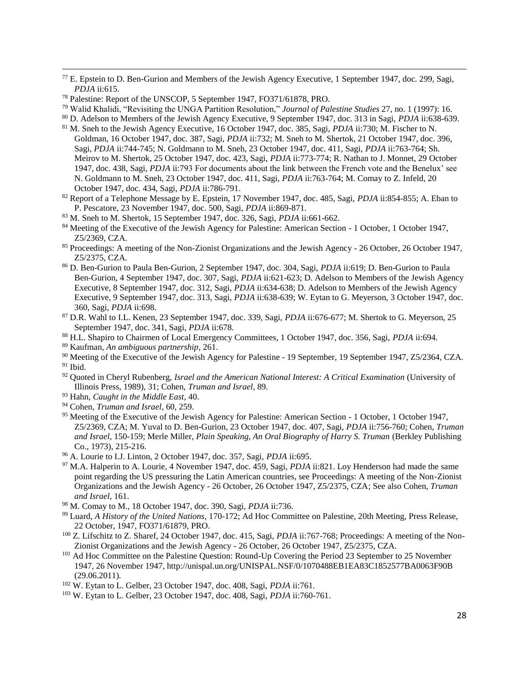<sup>77</sup> E. Epstein to D. Ben-Gurion and Members of the Jewish Agency Executive, 1 September 1947, doc. 299, Sagi, *PDJA* ii:615.

- <sup>80</sup> D. Adelson to Members of the Jewish Agency Executive, 9 September 1947, doc. 313 in Sagi, *PDJA* ii:638-639.
- <sup>81</sup> M. Sneh to the Jewish Agency Executive, 16 October 1947, doc. 385, Sagi, *PDJA* ii:730; M. Fischer to N. Goldman, 16 October 1947, doc. 387, Sagi, *PDJA* ii:732; M. Sneh to M. Shertok, 21 October 1947, doc. 396, Sagi, *PDJA* ii:744-745; N. Goldmann to M. Sneh, 23 October 1947, doc. 411, Sagi, *PDJA* ii:763-764; Sh. Meirov to M. Shertok, 25 October 1947, doc. 423, Sagi, *PDJA* ii:773-774; R. Nathan to J. Monnet, 29 October 1947, doc. 438, Sagi, *PDJA* ii:793 For documents about the link between the French vote and the Benelux' see N. Goldmann to M. Sneh, 23 October 1947, doc. 411, Sagi, *PDJA* ii:763-764; M. Comay to Z. Infeld, 20 October 1947, doc. 434, Sagi, *PDJA* ii:786-791.
- <sup>82</sup> Report of a Telephone Message by E. Epstein, 17 November 1947, doc. 485, Sagi, *PDJA* ii:854-855; A. Eban to P. Pescatore, 23 November 1947, doc. 500, Sagi, *PDJA* ii:869-871.
- <sup>83</sup> M. Sneh to M. Shertok, 15 September 1947, doc. 326, Sagi, *PDJA* ii:661-662.
- <sup>84</sup> Meeting of the Executive of the Jewish Agency for Palestine: American Section 1 October, 1 October 1947, Z5/2369, CZA.
- <sup>85</sup> Proceedings: A meeting of the Non-Zionist Organizations and the Jewish Agency 26 October, 26 October 1947, Z5/2375, CZA.
- <sup>86</sup> D. Ben-Gurion to Paula Ben-Gurion, 2 September 1947, doc. 304, Sagi, *PDJA* ii:619; D. Ben-Gurion to Paula Ben-Gurion, 4 September 1947, doc. 307, Sagi, *PDJA* ii:621-623; D. Adelson to Members of the Jewish Agency Executive, 8 September 1947, doc. 312, Sagi, *PDJA* ii:634-638; D. Adelson to Members of the Jewish Agency Executive, 9 September 1947, doc. 313, Sagi, *PDJA* ii:638-639; W. Eytan to G. Meyerson, 3 October 1947, doc. 360, Sagi, *PDJA* ii:698.
- <sup>87</sup> D.R. Wahl to I.L. Kenen, 23 September 1947, doc. 339, Sagi, *PDJA* ii:676-677; M. Shertok to G. Meyerson, 25 September 1947, doc. 341, Sagi, *PDJA* ii:678.
- <sup>88</sup> H.L. Shapiro to Chairmen of Local Emergency Committees, 1 October 1947, doc. 356, Sagi, *PDJA* ii:694.
- <sup>89</sup> Kaufman, *An ambiguous partnership*, 261.

 $\overline{a}$ 

- <sup>90</sup> Meeting of the Executive of the Jewish Agency for Palestine 19 September, 19 September 1947, Z5/2364, CZA.  $91$  Ibid.
- <sup>92</sup> Quoted in Cheryl Rubenberg, *Israel and the American National Interest: A Critical Examination* (University of Illinois Press, 1989), 31; Cohen, *Truman and Israel*, 89.
- <sup>93</sup> Hahn, *Caught in the Middle East*, 40.
- <sup>94</sup> Cohen, *Truman and Israel*, 60, 259.
- <sup>95</sup> Meeting of the Executive of the Jewish Agency for Palestine: American Section 1 October, 1 October 1947, Z5/2369, CZA; M. Yuval to D. Ben-Gurion, 23 October 1947, doc. 407, Sagi, *PDJA* ii:756-760; Cohen, *Truman and Israel*, 150-159; Merle Miller, *Plain Speaking, An Oral Biography of Harry S. Truman* (Berkley Publishing Co., 1973), 215-216.
- <sup>96</sup> A. Lourie to I.J. Linton, 2 October 1947, doc. 357, Sagi, *PDJA* ii:695.
- <sup>97</sup> M.A. Halperin to A. Lourie, 4 November 1947, doc. 459, Sagi, *PDJA* ii:821. Loy Henderson had made the same point regarding the US pressuring the Latin American countries, see Proceedings: A meeting of the Non-Zionist Organizations and the Jewish Agency - 26 October, 26 October 1947, Z5/2375, CZA; See also Cohen, *Truman and Israel*, 161.
- <sup>98</sup> M. Comay to M., 18 October 1947, doc. 390, Sagi, *PDJA* ii:736.
- <sup>99</sup> Luard, *A History of the United Nations*, 170-172; Ad Hoc Committee on Palestine, 20th Meeting, Press Release, 22 October, 1947, FO371/61879, PRO.
- <sup>100</sup> Z. Lifschitz to Z. Sharef, 24 October 1947, doc. 415, Sagi, *PDJA* ii:767-768; Proceedings: A meeting of the Non-Zionist Organizations and the Jewish Agency - 26 October, 26 October 1947, Z5/2375, CZA.
- <sup>101</sup> Ad Hoc Committee on the Palestine Question: Round-Up Covering the Period 23 September to 25 November 1947, 26 November 1947, http://unispal.un.org/UNISPAL.NSF/0/1070488EB1EA83C1852577BA0063F90B (29.06.2011).
- <sup>102</sup> W. Eytan to L. Gelber, 23 October 1947, doc. 408, Sagi, *PDJA* ii:761.
- <sup>103</sup> W. Eytan to L. Gelber, 23 October 1947, doc. 408, Sagi, *PDJA* ii:760-761.

<sup>78</sup> Palestine: Report of the UNSCOP, 5 September 1947, FO371/61878, PRO.

<sup>79</sup> Walid Khalidi, "Revisiting the UNGA Partition Resolution," *Journal of Palestine Studies* 27, no. 1 (1997): 16.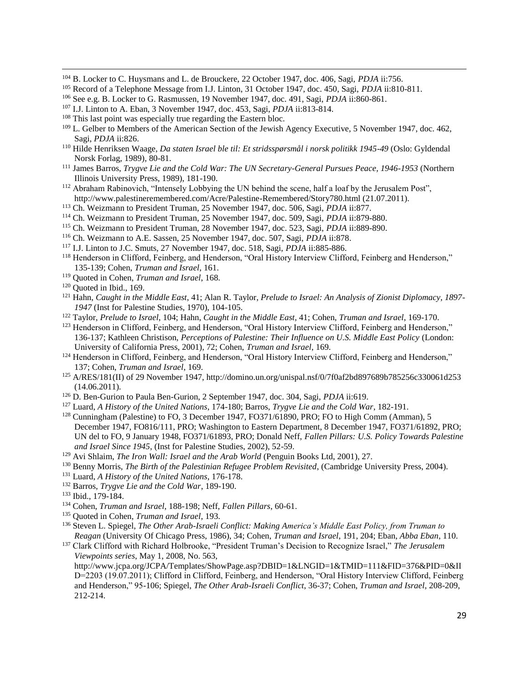- <sup>104</sup> B. Locker to C. Huysmans and L. de Brouckere, 22 October 1947, doc. 406, Sagi, *PDJA* ii:756.
- <sup>105</sup> Record of a Telephone Message from I.J. Linton, 31 October 1947, doc. 450, Sagi, *PDJA* ii:810-811.
- <sup>106</sup> See e.g. B. Locker to G. Rasmussen, 19 November 1947, doc. 491, Sagi, *PDJA* ii:860-861.
- <sup>107</sup> I.J. Linton to A. Eban, 3 November 1947, doc. 453, Sagi, *PDJA* ii:813-814.
- <sup>108</sup> This last point was especially true regarding the Eastern bloc.
- <sup>109</sup> L. Gelber to Members of the American Section of the Jewish Agency Executive, 5 November 1947, doc. 462, Sagi, *PDJA* ii:826.
- <sup>110</sup> Hilde Henriksen Waage, *Da staten Israel ble til: Et stridsspørsmål i norsk politikk 1945-49* (Oslo: Gyldendal Norsk Forlag, 1989), 80-81.
- <sup>111</sup> James Barros, *Trygve Lie and the Cold War: The UN Secretary-General Pursues Peace, 1946-1953* (Northern Illinois University Press, 1989), 181-190.
- <sup>112</sup> Abraham Rabinovich, "Intensely Lobbying the UN behind the scene, half a loaf by the Jerusalem Post", http://www.palestineremembered.com/Acre/Palestine-Remembered/Story780.html (21.07.2011).
- <sup>113</sup> Ch. Weizmann to President Truman, 25 November 1947, doc. 506, Sagi, *PDJA* ii:877.
- <sup>114</sup> Ch. Weizmann to President Truman, 25 November 1947, doc. 509, Sagi, *PDJA* ii:879-880.
- <sup>115</sup> Ch. Weizmann to President Truman, 28 November 1947, doc. 523, Sagi, *PDJA* ii:889-890.
- <sup>116</sup> Ch. Weizmann to A.E. Sassen, 25 November 1947, doc. 507, Sagi, *PDJA* ii:878.
- <sup>117</sup> I.J. Linton to J.C. Smuts, 27 November 1947, doc. 518, Sagi, *PDJA* ii:885-886.
- <sup>118</sup> Henderson in Clifford, Feinberg, and Henderson, "Oral History Interview Clifford, Feinberg and Henderson," 135-139; Cohen, *Truman and Israel*, 161.
- <sup>119</sup> Quoted in Cohen, *Truman and Israel*, 168.
- $120$  Quoted in Ibid., 169.

 $\overline{a}$ 

- <sup>121</sup> Hahn, *Caught in the Middle East*, 41; Alan R. Taylor, *Prelude to Israel: An Analysis of Zionist Diplomacy, 1897- 1947* (Inst for Palestine Studies, 1970), 104-105.
- <sup>122</sup> Taylor, *Prelude to Israel*, 104; Hahn, *Caught in the Middle East*, 41; Cohen, *Truman and Israel*, 169-170.
- <sup>123</sup> Henderson in Clifford, Feinberg, and Henderson, "Oral History Interview Clifford, Feinberg and Henderson," 136-137; Kathleen Christison, *Perceptions of Palestine: Their Influence on U.S. Middle East Policy* (London: University of California Press, 2001), 72; Cohen, *Truman and Israel*, 169.
- 124 Henderson in Clifford, Feinberg, and Henderson, "Oral History Interview Clifford, Feinberg and Henderson," 137; Cohen, *Truman and Israel*, 169.
- <sup>125</sup> A/RES/181(II) of 29 November 1947, http://domino.un.org/unispal.nsf/0/7f0af2bd897689b785256c330061d253 (14.06.2011).
- <sup>126</sup> D. Ben-Gurion to Paula Ben-Gurion, 2 September 1947, doc. 304, Sagi, *PDJA* ii:619.
- <sup>127</sup> Luard, *A History of the United Nations*, 174-180; Barros, *Trygve Lie and the Cold War*, 182-191. <sup>128</sup> Cunningham (Palestine) to FO, 3 December 1947, FO371/61890, PRO; FO to High Comm (Amman), 5 December 1947, FO816/111, PRO; Washington to Eastern Department, 8 December 1947, FO371/61892, PRO; UN del to FO, 9 January 1948, FO371/61893, PRO; Donald Neff, *Fallen Pillars: U.S. Policy Towards Palestine and Israel Since 1945*, (Inst for Palestine Studies, 2002), 52-59.
- <sup>129</sup> Avi Shlaim, *The Iron Wall: Israel and the Arab World* (Penguin Books Ltd, 2001), 27.
- <sup>130</sup> Benny Morris, *The Birth of the Palestinian Refugee Problem Revisited*, (Cambridge University Press, 2004).
- <sup>131</sup> Luard, *A History of the United Nations*, 176-178.
- <sup>132</sup> Barros, *Trygve Lie and the Cold War*, 189-190.
- <sup>133</sup> Ibid., 179-184.
- <sup>134</sup> Cohen, *Truman and Israel*, 188-198; Neff, *Fallen Pillars*, 60-61.
- <sup>135</sup> Quoted in Cohen, *Truman and Israel*, 193.
- <sup>136</sup> Steven L. Spiegel, *The Other Arab-Israeli Conflict: Making America's Middle East Policy, from Truman to Reagan* (University Of Chicago Press, 1986), 34; Cohen, *Truman and Israel*, 191, 204; Eban, *Abba Eban*, 110.
- <sup>137</sup> Clark Clifford with Richard Holbrooke, "President Truman's Decision to Recognize Israel," *The Jerusalem Viewpoints series*, May 1, 2008, No. 563,

http://www.jcpa.org/JCPA/Templates/ShowPage.asp?DBID=1&LNGID=1&TMID=111&FID=376&PID=0&II D=2203 (19.07.2011); Clifford in Clifford, Feinberg, and Henderson, "Oral History Interview Clifford, Feinberg and Henderson," 95-106; Spiegel, *The Other Arab-Israeli Conflict*, 36-37; Cohen, *Truman and Israel*, 208-209, 212-214.